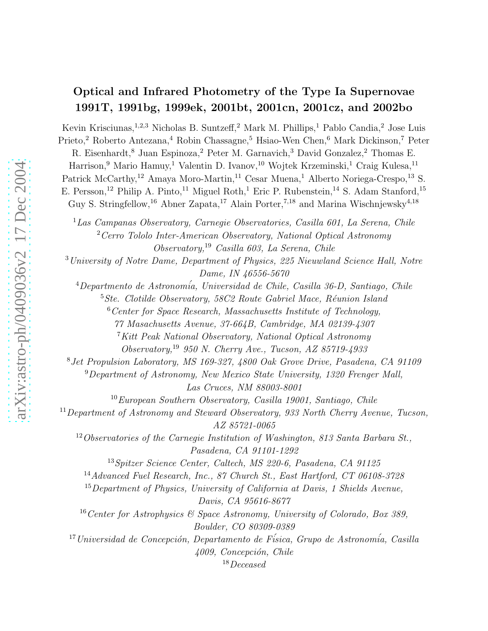# Optical and Infrared Photometry of the Type Ia Supernovae 1991T, 1991bg, 1999ek, 2001bt, 2001cn, 2001cz, and 2002bo

Kevin Krisciunas,<sup>1,2,3</sup> Nicholas B. Suntzeff,<sup>2</sup> Mark M. Phillips,<sup>1</sup> Pablo Candia,<sup>2</sup> Jose Luis Prieto,<sup>2</sup> Roberto Antezana,<sup>4</sup> Robin Chassagne,<sup>5</sup> Hsiao-Wen Chen,<sup>6</sup> Mark Dickinson,<sup>7</sup> Peter R. Eisenhardt,<sup>8</sup> Juan Espinoza,<sup>2</sup> Peter M. Garnavich,<sup>3</sup> David Gonzalez,<sup>2</sup> Thomas E. Harrison,<sup>9</sup> Mario Hamuy,<sup>1</sup> Valentin D. Ivanov,<sup>10</sup> Wojtek Krzeminski,<sup>1</sup> Craig Kulesa,<sup>11</sup> Patrick McCarthy,<sup>12</sup> Amaya Moro-Martin,<sup>11</sup> Cesar Muena,<sup>1</sup> Alberto Noriega-Crespo,<sup>13</sup> S. E. Persson,<sup>12</sup> Philip A. Pinto,<sup>11</sup> Miguel Roth,<sup>1</sup> Eric P. Rubenstein,<sup>14</sup> S. Adam Stanford,<sup>15</sup> Guy S. Stringfellow,<sup>16</sup> Abner Zapata,<sup>17</sup> Alain Porter,<sup>7,18</sup> and Marina Wischnjewsky<sup>4,18</sup>

<sup>1</sup>*Las Campanas Observatory, Carnegie Observatories, Casilla 601, La Serena, Chile* <sup>2</sup>*Cerro Tololo Inter-American Observatory, National Optical Astronomy Observatory,*<sup>19</sup> *Casilla 603, La Serena, Chile*

<sup>3</sup>*University of Notre Dame, Department of Physics, 225 Nieuwland Science Hall, Notre Dame, IN 46556-5670*

<sup>4</sup>*Departmento de Astronom´ia, Universidad de Chile, Casilla 36-D, Santiago, Chile*

<sup>5</sup> Ste. Clotilde Observatory, 58C2 Route Gabriel Mace, Réunion Island

<sup>6</sup>*Center for Space Research, Massachusetts Institute of Technology,*

*77 Masachusetts Avenue, 37-664B, Cambridge, MA 02139-4307*

<sup>7</sup>*Kitt Peak National Observatory, National Optical Astronomy*

*Observatory,*<sup>19</sup> *950 N. Cherry Ave., Tucson, AZ 85719-4933*

<sup>8</sup>*Jet Propulsion Laboratory, MS 169-327, 4800 Oak Grove Drive, Pasadena, CA 91109*

<sup>9</sup>*Department of Astronomy, New Mexico State University, 1320 Frenger Mall, Las Cruces, NM 88003-8001*

<sup>10</sup>*European Southern Observatory, Casilla 19001, Santiago, Chile*

<sup>11</sup>*Department of Astronomy and Steward Observatory, 933 North Cherry Avenue, Tucson, AZ 85721-0065*

<sup>12</sup>*Observatories of the Carnegie Institution of Washington, 813 Santa Barbara St., Pasadena, CA 91101-1292*

<sup>13</sup>*Spitzer Science Center, Caltech, MS 220-6, Pasadena, CA 91125*

<sup>14</sup>*Advanced Fuel Research, Inc., 87 Church St., East Hartford, CT 06108-3728*

<sup>15</sup>*Department of Physics, University of California at Davis, 1 Shields Avenue, Davis, CA 95616-8677*

<sup>16</sup>*Center for Astrophysics & Space Astronomy, University of Colorado, Box 389, Boulder, CO 80309-0389*

<sup>17</sup> Universidad de Concepción, Departamento de Física, Grupo de Astronomía, Casilla *4009, Concepci´on, Chile*

18*Deceased*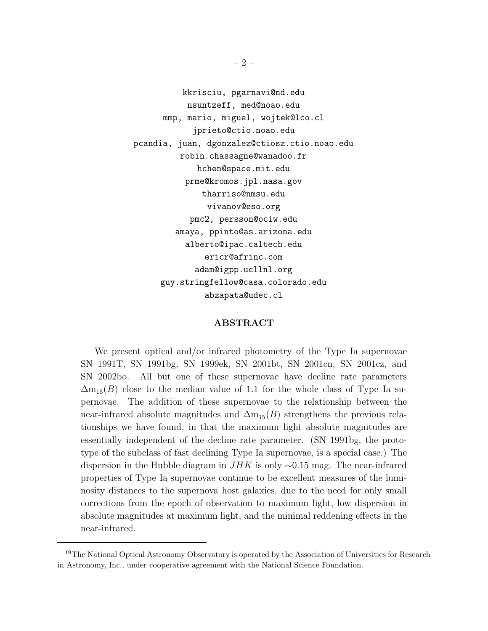kkrisciu, pgarnavi@nd.edu nsuntzeff, med@noao.edu mmp, mario, miguel, wojtek@lco.cl jprieto@ctio.noao.edu pcandia, juan, dgonzalez@ctiosz.ctio.noao.edu robin.chassagne@wanadoo.fr hchen@space.mit.edu prme@kromos.jpl.nasa.gov tharriso@nmsu.edu vivanov@eso.org pmc2, persson@ociw.edu amaya, ppinto@as.arizona.edu alberto@ipac.caltech.edu ericr@afrinc.com adam@igpp.ucllnl.org guy.stringfellow@casa.colorado.edu abzapata@udec.cl

## ABSTRACT

We present optical and/or infrared photometry of the Type Ia supernovae SN 1991T, SN 1991bg, SN 1999ek, SN 2001bt, SN 2001cn, SN 2001cz, and SN 2002bo. All but one of these supernovae have decline rate parameters  $\Delta m_{15}(B)$  close to the median value of 1.1 for the whole class of Type Ia supernovae. The addition of these supernovae to the relationship between the near-infrared absolute magnitudes and  $\Delta m_{15}(B)$  strengthens the previous relationships we have found, in that the maximum light absolute magnitudes are essentially independent of the decline rate parameter. (SN 1991bg, the prototype of the subclass of fast declining Type Ia supernovae, is a special case.) The dispersion in the Hubble diagram in  $JHK$  is only  $\sim 0.15$  mag. The near-infrared properties of Type Ia supernovae continue to be excellent measures of the luminosity distances to the supernova host galaxies, due to the need for only small corrections from the epoch of observation to maximum light, low dispersion in absolute magnitudes at maximum light, and the minimal reddening effects in the near-infrared.

<sup>&</sup>lt;sup>19</sup>The National Optical Astronomy Observatory is operated by the Association of Universities for Research in Astronomy, Inc., under cooperative agreement with the National Science Foundation.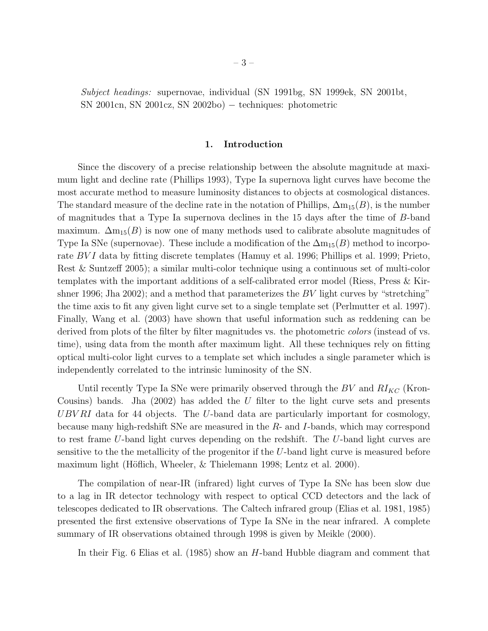*Subject headings:* supernovae, individual (SN 1991bg, SN 1999ek, SN 2001bt, SN 2001cn, SN 2001cz, SN 2002bo) − techniques: photometric

## 1. Introduction

Since the discovery of a precise relationship between the absolute magnitude at maximum light and decline rate (Phillips 1993), Type Ia supernova light curves have become the most accurate method to measure luminosity distances to objects at cosmological distances. The standard measure of the decline rate in the notation of Phillips,  $\Delta m_{15}(B)$ , is the number of magnitudes that a Type Ia supernova declines in the 15 days after the time of B-band maximum.  $\Delta m_{15}(B)$  is now one of many methods used to calibrate absolute magnitudes of Type Ia SNe (supernovae). These include a modification of the  $\Delta m_{15}(B)$  method to incorporate *BVI* data by fitting discrete templates (Hamuy et al. 1996; Phillips et al. 1999; Prieto, Rest & Suntzeff 2005); a similar multi-color technique using a continuous set of multi-color templates with the important additions of a self-calibrated error model (Riess, Press & Kirshner 1996; Jha 2002); and a method that parameterizes the BV light curves by "stretching" the time axis to fit any given light curve set to a single template set (Perlmutter et al. 1997). Finally, Wang et al. (2003) have shown that useful information such as reddening can be derived from plots of the filter by filter magnitudes vs. the photometric *colors* (instead of vs. time), using data from the month after maximum light. All these techniques rely on fitting optical multi-color light curves to a template set which includes a single parameter which is independently correlated to the intrinsic luminosity of the SN.

Until recently Type Ia SNe were primarily observed through the  $BV$  and  $RI_{KC}$  (Kron-Cousins) bands. Jha  $(2002)$  has added the U filter to the light curve sets and presents UBV RI data for 44 objects. The U-band data are particularly important for cosmology, because many high-redshift SNe are measured in the R- and I-bands, which may correspond to rest frame U-band light curves depending on the redshift. The U-band light curves are sensitive to the the metallicity of the progenitor if the U-band light curve is measured before maximum light (Höflich, Wheeler,  $\&$  Thielemann 1998; Lentz et al. 2000).

The compilation of near-IR (infrared) light curves of Type Ia SNe has been slow due to a lag in IR detector technology with respect to optical CCD detectors and the lack of telescopes dedicated to IR observations. The Caltech infrared group (Elias et al. 1981, 1985) presented the first extensive observations of Type Ia SNe in the near infrared. A complete summary of IR observations obtained through 1998 is given by Meikle (2000).

In their Fig. 6 Elias et al. (1985) show an H-band Hubble diagram and comment that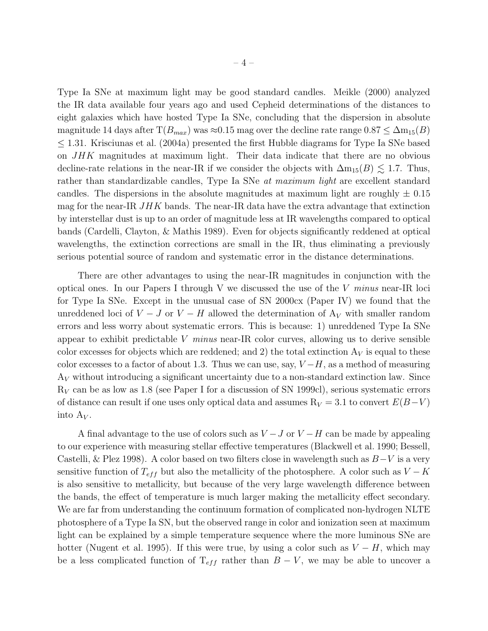Type Ia SNe at maximum light may be good standard candles. Meikle (2000) analyzed the IR data available four years ago and used Cepheid determinations of the distances to eight galaxies which have hosted Type Ia SNe, concluding that the dispersion in absolute magnitude 14 days after  $T(B_{max})$  was  $\approx 0.15$  mag over the decline rate range  $0.87 \leq \Delta m_{15}(B)$  $\leq$  1.31. Krisciunas et al. (2004a) presented the first Hubble diagrams for Type Ia SNe based on JHK magnitudes at maximum light. Their data indicate that there are no obvious decline-rate relations in the near-IR if we consider the objects with  $\Delta m_{15}(B) \lesssim 1.7$ . Thus, rather than standardizable candles, Type Ia SNe *at maximum light* are excellent standard candles. The dispersions in the absolute magnitudes at maximum light are roughly  $\pm$  0.15 mag for the near-IR  $JHK$  bands. The near-IR data have the extra advantage that extinction by interstellar dust is up to an order of magnitude less at IR wavelengths compared to optical bands (Cardelli, Clayton, & Mathis 1989). Even for objects significantly reddened at optical wavelengths, the extinction corrections are small in the IR, thus eliminating a previously serious potential source of random and systematic error in the distance determinations.

There are other advantages to using the near-IR magnitudes in conjunction with the optical ones. In our Papers I through V we discussed the use of the V *minus* near-IR loci for Type Ia SNe. Except in the unusual case of SN 2000cx (Paper IV) we found that the unreddened loci of  $V - J$  or  $V - H$  allowed the determination of  $A_V$  with smaller random errors and less worry about systematic errors. This is because: 1) unreddened Type Ia SNe appear to exhibit predictable V *minus* near-IR color curves, allowing us to derive sensible color excesses for objects which are reddened; and 2) the total extinction  $A_V$  is equal to these color excesses to a factor of about 1.3. Thus we can use, say,  $V-H$ , as a method of measuring  $A_V$  without introducing a significant uncertainty due to a non-standard extinction law. Since  $R_V$  can be as low as 1.8 (see Paper I for a discussion of SN 1999cl), serious systematic errors of distance can result if one uses only optical data and assumes  $R_V = 3.1$  to convert  $E(B-V)$ into  $A_V$ .

A final advantage to the use of colors such as  $V - J$  or  $V - H$  can be made by appealing to our experience with measuring stellar effective temperatures (Blackwell et al. 1990; Bessell, Castelli, & Plez 1998). A color based on two filters close in wavelength such as  $B-V$  is a very sensitive function of  $T_{eff}$  but also the metallicity of the photosphere. A color such as  $V - K$ is also sensitive to metallicity, but because of the very large wavelength difference between the bands, the effect of temperature is much larger making the metallicity effect secondary. We are far from understanding the continuum formation of complicated non-hydrogen NLTE photosphere of a Type Ia SN, but the observed range in color and ionization seen at maximum light can be explained by a simple temperature sequence where the more luminous SNe are hotter (Nugent et al. 1995). If this were true, by using a color such as  $V - H$ , which may be a less complicated function of  $T_{eff}$  rather than  $B - V$ , we may be able to uncover a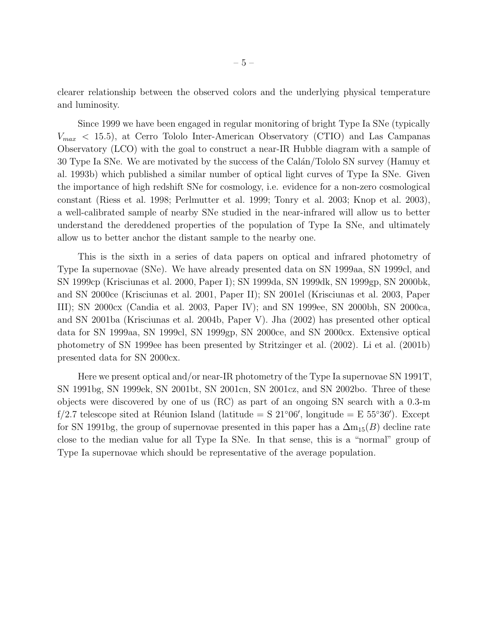clearer relationship between the observed colors and the underlying physical temperature and luminosity.

Since 1999 we have been engaged in regular monitoring of bright Type Ia SNe (typically  $V_{max}$  < 15.5), at Cerro Tololo Inter-American Observatory (CTIO) and Las Campanas Observatory (LCO) with the goal to construct a near-IR Hubble diagram with a sample of 30 Type Ia SNe. We are motivated by the success of the Calán/Tololo SN survey (Hamuy et al. 1993b) which published a similar number of optical light curves of Type Ia SNe. Given the importance of high redshift SNe for cosmology, i.e. evidence for a non-zero cosmological constant (Riess et al. 1998; Perlmutter et al. 1999; Tonry et al. 2003; Knop et al. 2003), a well-calibrated sample of nearby SNe studied in the near-infrared will allow us to better understand the dereddened properties of the population of Type Ia SNe, and ultimately allow us to better anchor the distant sample to the nearby one.

This is the sixth in a series of data papers on optical and infrared photometry of Type Ia supernovae (SNe). We have already presented data on SN 1999aa, SN 1999cl, and SN 1999cp (Krisciunas et al. 2000, Paper I); SN 1999da, SN 1999dk, SN 1999gp, SN 2000bk, and SN 2000ce (Krisciunas et al. 2001, Paper II); SN 2001el (Krisciunas et al. 2003, Paper III); SN 2000cx (Candia et al. 2003, Paper IV); and SN 1999ee, SN 2000bh, SN 2000ca, and SN 2001ba (Krisciunas et al. 2004b, Paper V). Jha (2002) has presented other optical data for SN 1999aa, SN 1999cl, SN 1999gp, SN 2000ce, and SN 2000cx. Extensive optical photometry of SN 1999ee has been presented by Stritzinger et al. (2002). Li et al. (2001b) presented data for SN 2000cx.

Here we present optical and/or near-IR photometry of the Type Ia supernovae SN 1991T, SN 1991bg, SN 1999ek, SN 2001bt, SN 2001cn, SN 2001cz, and SN 2002bo. Three of these objects were discovered by one of us (RC) as part of an ongoing SN search with a 0.3-m f/2.7 telescope sited at Réunion Island (latitude = S  $21^{\circ}06'$ , longitude = E  $55^{\circ}36'$ ). Except for SN 1991bg, the group of supernovae presented in this paper has a  $\Delta m_{15}(B)$  decline rate close to the median value for all Type Ia SNe. In that sense, this is a "normal" group of Type Ia supernovae which should be representative of the average population.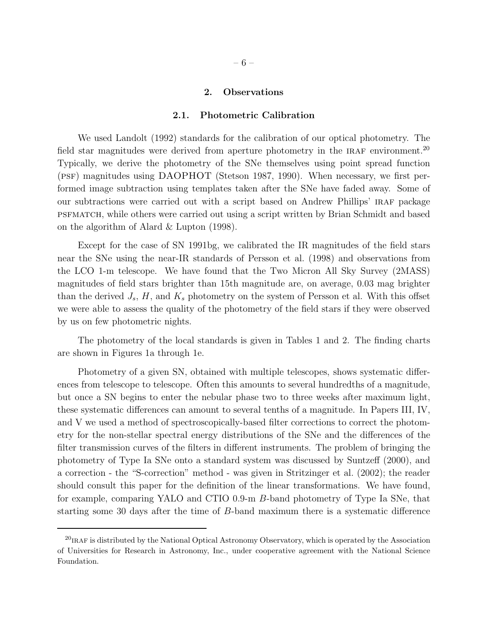#### 2. Observations

#### 2.1. Photometric Calibration

We used Landolt (1992) standards for the calibration of our optical photometry. The field star magnitudes were derived from aperture photometry in the IRAF environment.<sup>20</sup> Typically, we derive the photometry of the SNe themselves using point spread function (PSF) magnitudes using DAOPHOT (Stetson 1987, 1990). When necessary, we first performed image subtraction using templates taken after the SNe have faded away. Some of our subtractions were carried out with a script based on Andrew Phillips' IRAF package psfmatch, while others were carried out using a script written by Brian Schmidt and based on the algorithm of Alard & Lupton (1998).

Except for the case of SN 1991bg, we calibrated the IR magnitudes of the field stars near the SNe using the near-IR standards of Persson et al. (1998) and observations from the LCO 1-m telescope. We have found that the Two Micron All Sky Survey (2MASS) magnitudes of field stars brighter than 15th magnitude are, on average, 0.03 mag brighter than the derived  $J_s$ , H, and  $K_s$  photometry on the system of Persson et al. With this offset we were able to assess the quality of the photometry of the field stars if they were observed by us on few photometric nights.

The photometry of the local standards is given in Tables 1 and 2. The finding charts are shown in Figures 1a through 1e.

Photometry of a given SN, obtained with multiple telescopes, shows systematic differences from telescope to telescope. Often this amounts to several hundredths of a magnitude, but once a SN begins to enter the nebular phase two to three weeks after maximum light, these systematic differences can amount to several tenths of a magnitude. In Papers III, IV, and V we used a method of spectroscopically-based filter corrections to correct the photometry for the non-stellar spectral energy distributions of the SNe and the differences of the filter transmission curves of the filters in different instruments. The problem of bringing the photometry of Type Ia SNe onto a standard system was discussed by Suntzeff (2000), and a correction - the "S-correction" method - was given in Stritzinger et al. (2002); the reader should consult this paper for the definition of the linear transformations. We have found, for example, comparing YALO and CTIO 0.9-m B-band photometry of Type Ia SNe, that starting some 30 days after the time of B-band maximum there is a systematic difference

 $^{20}$ IRAF is distributed by the National Optical Astronomy Observatory, which is operated by the Association of Universities for Research in Astronomy, Inc., under cooperative agreement with the National Science Foundation.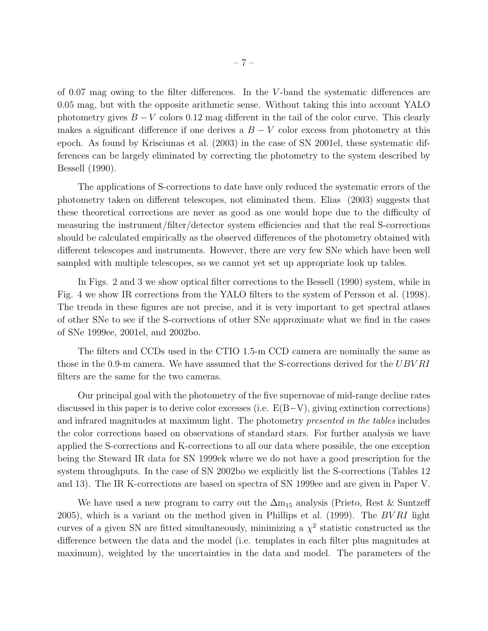of 0.07 mag owing to the filter differences. In the V -band the systematic differences are 0.05 mag, but with the opposite arithmetic sense. Without taking this into account YALO photometry gives  $B - V$  colors 0.12 mag different in the tail of the color curve. This clearly makes a significant difference if one derives a  $B - V$  color excess from photometry at this epoch. As found by Krisciunas et al. (2003) in the case of SN 2001el, these systematic differences can be largely eliminated by correcting the photometry to the system described by Bessell (1990).

The applications of S-corrections to date have only reduced the systematic errors of the photometry taken on different telescopes, not eliminated them. Elias (2003) suggests that these theoretical corrections are never as good as one would hope due to the difficulty of measuring the instrument/filter/detector system efficiencies and that the real S-corrections should be calculated empirically as the observed differences of the photometry obtained with different telescopes and instruments. However, there are very few SNe which have been well sampled with multiple telescopes, so we cannot yet set up appropriate look up tables.

In Figs. 2 and 3 we show optical filter corrections to the Bessell (1990) system, while in Fig. 4 we show IR corrections from the YALO filters to the system of Persson et al. (1998). The trends in these figures are not precise, and it is very important to get spectral atlases of other SNe to see if the S-corrections of other SNe approximate what we find in the cases of SNe 1999ee, 2001el, and 2002bo.

The filters and CCDs used in the CTIO 1.5-m CCD camera are nominally the same as those in the 0.9-m camera. We have assumed that the S-corrections derived for the UBVRI filters are the same for the two cameras.

Our principal goal with the photometry of the five supernovae of mid-range decline rates discussed in this paper is to derive color excesses (i.e. E(B−V), giving extinction corrections) and infrared magnitudes at maximum light. The photometry *presented in the tables* includes the color corrections based on observations of standard stars. For further analysis we have applied the S-corrections and K-corrections to all our data where possible, the one exception being the Steward IR data for SN 1999ek where we do not have a good prescription for the system throughputs. In the case of SN 2002bo we explicitly list the S-corrections (Tables 12 and 13). The IR K-corrections are based on spectra of SN 1999ee and are given in Paper V.

We have used a new program to carry out the  $\Delta m_{15}$  analysis (Prieto, Rest & Suntzeff 2005), which is a variant on the method given in Phillips et al. (1999). The  $BVRI$  light curves of a given SN are fitted simultaneously, minimizing a  $\chi^2$  statistic constructed as the difference between the data and the model (i.e. templates in each filter plus magnitudes at maximum), weighted by the uncertainties in the data and model. The parameters of the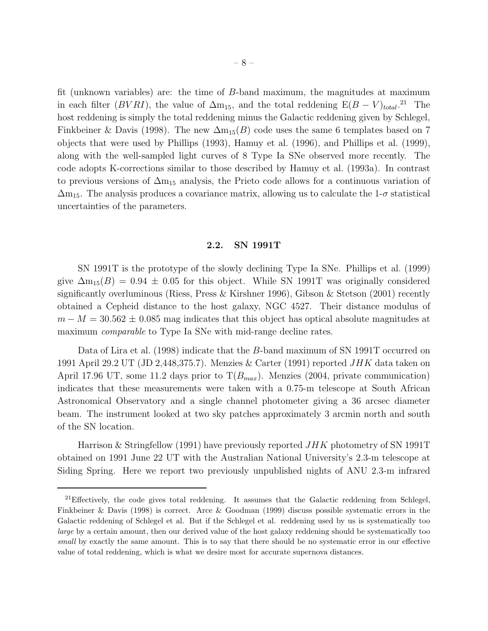fit (unknown variables) are: the time of B-band maximum, the magnitudes at maximum in each filter ( $BVRI$ ), the value of  $\Delta m_{15}$ , and the total reddening  $E(B - V)_{total}.^{21}$  The host reddening is simply the total reddening minus the Galactic reddening given by Schlegel, Finkbeiner & Davis (1998). The new  $\Delta m_{15}(B)$  code uses the same 6 templates based on 7 objects that were used by Phillips (1993), Hamuy et al. (1996), and Phillips et al. (1999), along with the well-sampled light curves of 8 Type Ia SNe observed more recently. The code adopts K-corrections similar to those described by Hamuy et al. (1993a). In contrast to previous versions of  $\Delta m_{15}$  analysis, the Prieto code allows for a continuous variation of  $\Delta m_{15}$ . The analysis produces a covariance matrix, allowing us to calculate the 1- $\sigma$  statistical uncertainties of the parameters.

## 2.2. SN 1991T

SN 1991T is the prototype of the slowly declining Type Ia SNe. Phillips et al. (1999) give  $\Delta m_{15}(B) = 0.94 \pm 0.05$  for this object. While SN 1991T was originally considered significantly overluminous (Riess, Press & Kirshner 1996), Gibson & Stetson (2001) recently obtained a Cepheid distance to the host galaxy, NGC 4527. Their distance modulus of  $m - M = 30.562 \pm 0.085$  mag indicates that this object has optical absolute magnitudes at maximum *comparable* to Type Ia SNe with mid-range decline rates.

Data of Lira et al. (1998) indicate that the B-band maximum of SN 1991T occurred on 1991 April 29.2 UT (JD 2,448,375.7). Menzies & Carter (1991) reported  $JHK$  data taken on April 17.96 UT, some 11.2 days prior to  $T(B_{max})$ . Menzies (2004, private communication) indicates that these measurements were taken with a 0.75-m telescope at South African Astronomical Observatory and a single channel photometer giving a 36 arcsec diameter beam. The instrument looked at two sky patches approximately 3 arcmin north and south of the SN location.

Harrison & Stringfellow (1991) have previously reported  $JHK$  photometry of SN 1991T obtained on 1991 June 22 UT with the Australian National University's 2.3-m telescope at Siding Spring. Here we report two previously unpublished nights of ANU 2.3-m infrared

 $21$ Effectively, the code gives total reddening. It assumes that the Galactic reddening from Schlegel, Finkbeiner & Davis (1998) is correct. Arce & Goodman (1999) discuss possible systematic errors in the Galactic reddening of Schlegel et al. But if the Schlegel et al. reddening used by us is systematically too large by a certain amount, then our derived value of the host galaxy reddening should be systematically too small by exactly the same amount. This is to say that there should be no systematic error in our effective value of total reddening, which is what we desire most for accurate supernova distances.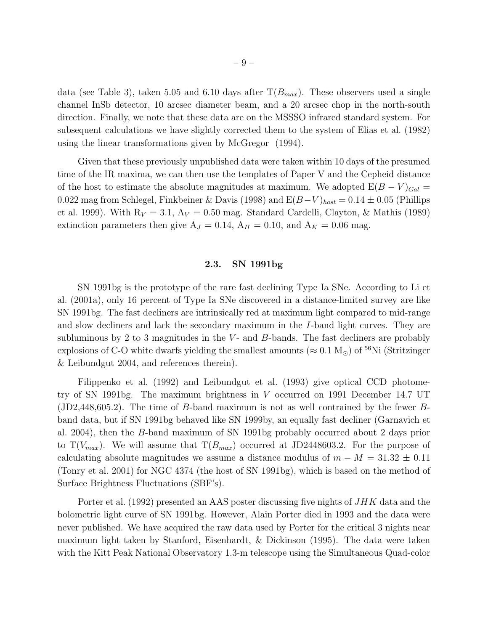data (see Table 3), taken 5.05 and 6.10 days after  $T(B_{max})$ . These observers used a single channel InSb detector, 10 arcsec diameter beam, and a 20 arcsec chop in the north-south direction. Finally, we note that these data are on the MSSSO infrared standard system. For subsequent calculations we have slightly corrected them to the system of Elias et al. (1982) using the linear transformations given by McGregor (1994).

Given that these previously unpublished data were taken within 10 days of the presumed time of the IR maxima, we can then use the templates of Paper V and the Cepheid distance of the host to estimate the absolute magnitudes at maximum. We adopted  $E(B-V)_{Gal}$  = 0.022 mag from Schlegel, Finkbeiner & Davis (1998) and  $E(B-V)_{host} = 0.14 \pm 0.05$  (Phillips et al. 1999). With  $R_V = 3.1$ ,  $A_V = 0.50$  mag. Standard Cardelli, Clayton, & Mathis (1989) extinction parameters then give  $A_J = 0.14$ ,  $A_H = 0.10$ , and  $A_K = 0.06$  mag.

## 2.3. SN 1991bg

SN 1991bg is the prototype of the rare fast declining Type Ia SNe. According to Li et al. (2001a), only 16 percent of Type Ia SNe discovered in a distance-limited survey are like SN 1991bg. The fast decliners are intrinsically red at maximum light compared to mid-range and slow decliners and lack the secondary maximum in the I-band light curves. They are subluminous by 2 to 3 magnitudes in the  $V$ - and  $B$ -bands. The fast decliners are probably explosions of C-O white dwarfs yielding the smallest amounts ( $\approx 0.1 \text{ M}_{\odot}$ ) of <sup>56</sup>Ni (Stritzinger & Leibundgut 2004, and references therein).

Filippenko et al. (1992) and Leibundgut et al. (1993) give optical CCD photometry of SN 1991bg. The maximum brightness in V occurred on 1991 December 14.7 UT (JD2,448,605.2). The time of B-band maximum is not as well contrained by the fewer Bband data, but if SN 1991bg behaved like SN 1999by, an equally fast decliner (Garnavich et al. 2004), then the B-band maximum of SN 1991bg probably occurred about 2 days prior to  $T(V_{max})$ . We will assume that  $T(B_{max})$  occurred at JD2448603.2. For the purpose of calculating absolute magnitudes we assume a distance modulus of  $m - M = 31.32 \pm 0.11$ (Tonry et al. 2001) for NGC 4374 (the host of SN 1991bg), which is based on the method of Surface Brightness Fluctuations (SBF's).

Porter et al. (1992) presented an AAS poster discussing five nights of  $JHK$  data and the bolometric light curve of SN 1991bg. However, Alain Porter died in 1993 and the data were never published. We have acquired the raw data used by Porter for the critical 3 nights near maximum light taken by Stanford, Eisenhardt, & Dickinson (1995). The data were taken with the Kitt Peak National Observatory 1.3-m telescope using the Simultaneous Quad-color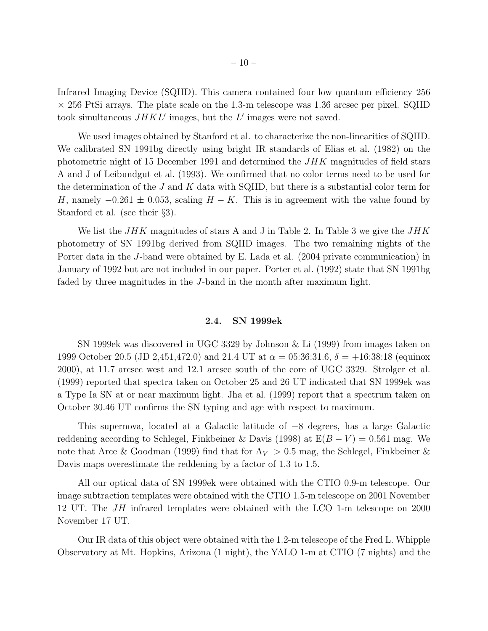Infrared Imaging Device (SQIID). This camera contained four low quantum efficiency 256  $\times$  256 PtSi arrays. The plate scale on the 1.3-m telescope was 1.36 arcsec per pixel. SQIID took simultaneous  $JHKL'$  images, but the  $L'$  images were not saved.

We used images obtained by Stanford et al. to characterize the non-linearities of SQIID. We calibrated SN 1991bg directly using bright IR standards of Elias et al. (1982) on the photometric night of 15 December 1991 and determined the  $JHK$  magnitudes of field stars A and J of Leibundgut et al. (1993). We confirmed that no color terms need to be used for the determination of the  $J$  and  $K$  data with SQIID, but there is a substantial color term for H, namely  $-0.261 \pm 0.053$ , scaling  $H - K$ . This is in agreement with the value found by Stanford et al. (see their §3).

We list the  $JHK$  magnitudes of stars A and J in Table 2. In Table 3 we give the  $JHK$ photometry of SN 1991bg derived from SQIID images. The two remaining nights of the Porter data in the J-band were obtained by E. Lada et al. (2004 private communication) in January of 1992 but are not included in our paper. Porter et al. (1992) state that SN 1991bg faded by three magnitudes in the J-band in the month after maximum light.

## 2.4. SN 1999ek

SN 1999ek was discovered in UGC 3329 by Johnson & Li (1999) from images taken on 1999 October 20.5 (JD 2,451,472.0) and 21.4 UT at  $\alpha = 0.536:31.6$ ,  $\delta = +16:38:18$  (equinox 2000), at 11.7 arcsec west and 12.1 arcsec south of the core of UGC 3329. Strolger et al. (1999) reported that spectra taken on October 25 and 26 UT indicated that SN 1999ek was a Type Ia SN at or near maximum light. Jha et al. (1999) report that a spectrum taken on October 30.46 UT confirms the SN typing and age with respect to maximum.

This supernova, located at a Galactic latitude of −8 degrees, has a large Galactic reddening according to Schlegel, Finkbeiner & Davis (1998) at  $E(B - V) = 0.561$  mag. We note that Arce & Goodman (1999) find that for  $A_V > 0.5$  mag, the Schlegel, Finkbeiner & Davis maps overestimate the reddening by a factor of 1.3 to 1.5.

All our optical data of SN 1999ek were obtained with the CTIO 0.9-m telescope. Our image subtraction templates were obtained with the CTIO 1.5-m telescope on 2001 November 12 UT. The JH infrared templates were obtained with the LCO 1-m telescope on 2000 November 17 UT.

Our IR data of this object were obtained with the 1.2-m telescope of the Fred L. Whipple Observatory at Mt. Hopkins, Arizona (1 night), the YALO 1-m at CTIO (7 nights) and the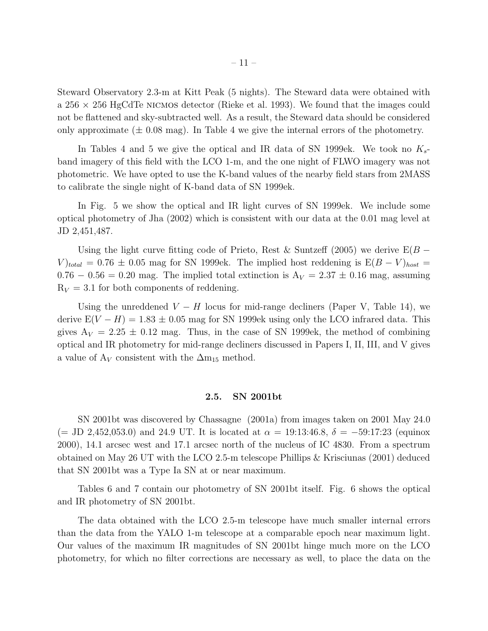Steward Observatory 2.3-m at Kitt Peak (5 nights). The Steward data were obtained with a  $256 \times 256$  HgCdTe NICMOS detector (Rieke et al. 1993). We found that the images could not be flattened and sky-subtracted well. As a result, the Steward data should be considered only approximate  $(\pm 0.08 \text{ mag})$ . In Table 4 we give the internal errors of the photometry.

In Tables 4 and 5 we give the optical and IR data of SN 1999ek. We took no  $K_{s}$ band imagery of this field with the LCO 1-m, and the one night of FLWO imagery was not photometric. We have opted to use the K-band values of the nearby field stars from 2MASS to calibrate the single night of K-band data of SN 1999ek.

In Fig. 5 we show the optical and IR light curves of SN 1999ek. We include some optical photometry of Jha (2002) which is consistent with our data at the 0.01 mag level at JD 2,451,487.

Using the light curve fitting code of Prieto, Rest & Suntzeff (2005) we derive  $E(B V$ <sub>total</sub> = 0.76 ± 0.05 mag for SN 1999ek. The implied host reddening is  $E(B-V)_{host}$  =  $0.76 - 0.56 = 0.20$  mag. The implied total extinction is  $A_V = 2.37 \pm 0.16$  mag, assuming  $R_V = 3.1$  for both components of reddening.

Using the unreddened  $V - H$  locus for mid-range decliners (Paper V, Table 14), we derive  $E(V - H) = 1.83 \pm 0.05$  mag for SN 1999ek using only the LCO infrared data. This gives  $A_V = 2.25 \pm 0.12$  mag. Thus, in the case of SN 1999ek, the method of combining optical and IR photometry for mid-range decliners discussed in Papers I, II, III, and V gives a value of  $A_V$  consistent with the  $\Delta m_{15}$  method.

## 2.5. SN 2001bt

SN 2001bt was discovered by Chassagne (2001a) from images taken on 2001 May 24.0 (= JD 2,452,053.0) and 24.9 UT. It is located at  $\alpha = 19:13:46.8$ ,  $\delta = -59:17:23$  (equinox 2000), 14.1 arcsec west and 17.1 arcsec north of the nucleus of IC 4830. From a spectrum obtained on May 26 UT with the LCO 2.5-m telescope Phillips & Krisciunas (2001) deduced that SN 2001bt was a Type Ia SN at or near maximum.

Tables 6 and 7 contain our photometry of SN 2001bt itself. Fig. 6 shows the optical and IR photometry of SN 2001bt.

The data obtained with the LCO 2.5-m telescope have much smaller internal errors than the data from the YALO 1-m telescope at a comparable epoch near maximum light. Our values of the maximum IR magnitudes of SN 2001bt hinge much more on the LCO photometry, for which no filter corrections are necessary as well, to place the data on the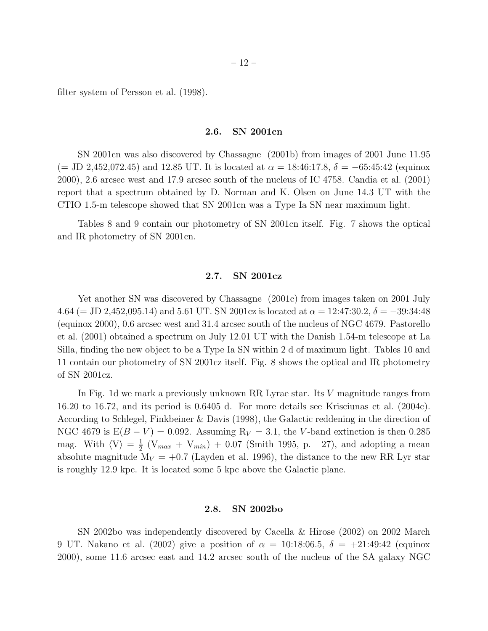filter system of Persson et al. (1998).

## 2.6. SN 2001cn

SN 2001cn was also discovered by Chassagne (2001b) from images of 2001 June 11.95  $(=$  JD 2,452,072.45) and 12.85 UT. It is located at  $\alpha = 18:46:17.8$ ,  $\delta = -65:45:42$  (equinox 2000), 2.6 arcsec west and 17.9 arcsec south of the nucleus of IC 4758. Candia et al. (2001) report that a spectrum obtained by D. Norman and K. Olsen on June 14.3 UT with the CTIO 1.5-m telescope showed that SN 2001cn was a Type Ia SN near maximum light.

Tables 8 and 9 contain our photometry of SN 2001cn itself. Fig. 7 shows the optical and IR photometry of SN 2001cn.

## 2.7. SN 2001cz

Yet another SN was discovered by Chassagne (2001c) from images taken on 2001 July 4.64 (= JD 2,452,095.14) and 5.61 UT. SN 2001cz is located at  $\alpha = 12:47:30.2$ ,  $\delta = -39:34:48$ (equinox 2000), 0.6 arcsec west and 31.4 arcsec south of the nucleus of NGC 4679. Pastorello et al. (2001) obtained a spectrum on July 12.01 UT with the Danish 1.54-m telescope at La Silla, finding the new object to be a Type Ia SN within 2 d of maximum light. Tables 10 and 11 contain our photometry of SN 2001cz itself. Fig. 8 shows the optical and IR photometry of SN 2001cz.

In Fig. 1d we mark a previously unknown RR Lyrae star. Its V magnitude ranges from 16.20 to 16.72, and its period is 0.6405 d. For more details see Krisciunas et al. (2004c). According to Schlegel, Finkbeiner & Davis (1998), the Galactic reddening in the direction of NGC 4679 is  $E(B - V) = 0.092$ . Assuming  $R_V = 3.1$ , the V-band extinction is then 0.285 mag. With  $\langle V \rangle = \frac{1}{2}$  $\frac{1}{2}$  (V<sub>max</sub> + V<sub>min</sub>) + 0.07 (Smith 1995, p. 27), and adopting a mean absolute magnitude  $M_V = +0.7$  (Layden et al. 1996), the distance to the new RR Lyr star is roughly 12.9 kpc. It is located some 5 kpc above the Galactic plane.

## 2.8. SN 2002bo

SN 2002bo was independently discovered by Cacella & Hirose (2002) on 2002 March 9 UT. Nakano et al. (2002) give a position of  $\alpha = 10:18:06.5, \delta = +21:49:42$  (equinox 2000), some 11.6 arcsec east and 14.2 arcsec south of the nucleus of the SA galaxy NGC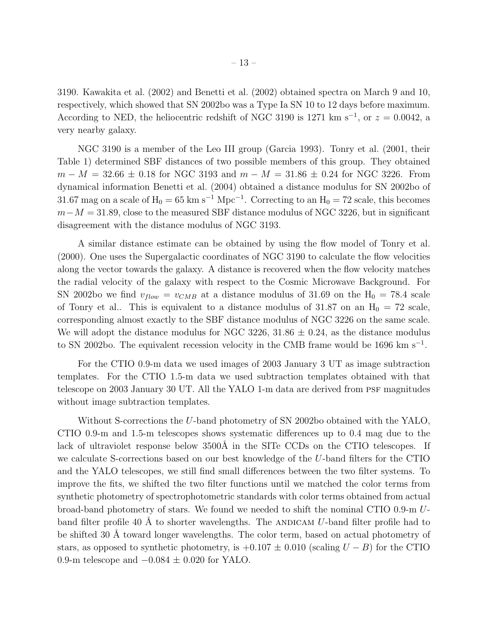3190. Kawakita et al. (2002) and Benetti et al. (2002) obtained spectra on March 9 and 10, respectively, which showed that SN 2002bo was a Type Ia SN 10 to 12 days before maximum. According to NED, the heliocentric redshift of NGC 3190 is 1271 km s<sup>-1</sup>, or  $z = 0.0042$ , a very nearby galaxy.

NGC 3190 is a member of the Leo III group (Garcia 1993). Tonry et al. (2001, their Table 1) determined SBF distances of two possible members of this group. They obtained  $m - M = 32.66 \pm 0.18$  for NGC 3193 and  $m - M = 31.86 \pm 0.24$  for NGC 3226. From dynamical information Benetti et al. (2004) obtained a distance modulus for SN 2002bo of 31.67 mag on a scale of  $H_0 = 65$  km s<sup>-1</sup> Mpc<sup>-1</sup>. Correcting to an  $H_0 = 72$  scale, this becomes  $m-M = 31.89$ , close to the measured SBF distance modulus of NGC 3226, but in significant disagreement with the distance modulus of NGC 3193.

A similar distance estimate can be obtained by using the flow model of Tonry et al. (2000). One uses the Supergalactic coordinates of NGC 3190 to calculate the flow velocities along the vector towards the galaxy. A distance is recovered when the flow velocity matches the radial velocity of the galaxy with respect to the Cosmic Microwave Background. For SN 2002bo we find  $v_{flow} = v_{CMB}$  at a distance modulus of 31.69 on the  $H_0 = 78.4$  scale of Tonry et al.. This is equivalent to a distance modulus of 31.87 on an  $H_0 = 72$  scale, corresponding almost exactly to the SBF distance modulus of NGC 3226 on the same scale. We will adopt the distance modulus for NGC 3226,  $31.86 \pm 0.24$ , as the distance modulus to SN 2002bo. The equivalent recession velocity in the CMB frame would be 1696 km s<sup>−</sup><sup>1</sup> .

For the CTIO 0.9-m data we used images of 2003 January 3 UT as image subtraction templates. For the CTIO 1.5-m data we used subtraction templates obtained with that telescope on 2003 January 30 UT. All the YALO 1-m data are derived from PSF magnitudes without image subtraction templates.

Without S-corrections the U-band photometry of SN 2002bo obtained with the YALO, CTIO 0.9-m and 1.5-m telescopes shows systematic differences up to 0.4 mag due to the lack of ultraviolet response below 3500Å in the SITe CCDs on the CTIO telescopes. If we calculate S-corrections based on our best knowledge of the U-band filters for the CTIO and the YALO telescopes, we still find small differences between the two filter systems. To improve the fits, we shifted the two filter functions until we matched the color terms from synthetic photometry of spectrophotometric standards with color terms obtained from actual broad-band photometry of stars. We found we needed to shift the nominal CTIO 0.9-m Uband filter profile 40 Å to shorter wavelengths. The ANDICAM U-band filter profile had to be shifted 30 Å toward longer wavelengths. The color term, based on actual photometry of stars, as opposed to synthetic photometry, is  $+0.107 \pm 0.010$  (scaling  $U - B$ ) for the CTIO 0.9-m telescope and  $-0.084 \pm 0.020$  for YALO.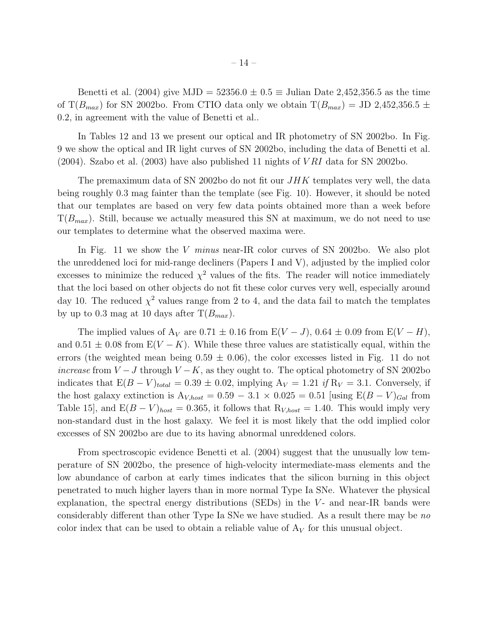Benetti et al. (2004) give MJD =  $52356.0 \pm 0.5 \equiv$  Julian Date 2,452,356.5 as the time of T( $B_{max}$ ) for SN 2002bo. From CTIO data only we obtain  $T(B_{max}) =$  JD 2,452,356.5  $\pm$ 0.2, in agreement with the value of Benetti et al..

In Tables 12 and 13 we present our optical and IR photometry of SN 2002bo. In Fig. 9 we show the optical and IR light curves of SN 2002bo, including the data of Benetti et al.  $(2004)$ . Szabo et al.  $(2003)$  have also published 11 nights of *VRI* data for SN 2002bo.

The premaximum data of SN 2002bo do not fit our  $JHK$  templates very well, the data being roughly 0.3 mag fainter than the template (see Fig. 10). However, it should be noted that our templates are based on very few data points obtained more than a week before  $T(B_{max})$ . Still, because we actually measured this SN at maximum, we do not need to use our templates to determine what the observed maxima were.

In Fig. 11 we show the V *minus* near-IR color curves of SN 2002bo. We also plot the unreddened loci for mid-range decliners (Papers I and V), adjusted by the implied color excesses to minimize the reduced  $\chi^2$  values of the fits. The reader will notice immediately that the loci based on other objects do not fit these color curves very well, especially around day 10. The reduced  $\chi^2$  values range from 2 to 4, and the data fail to match the templates by up to 0.3 mag at 10 days after  $T(B_{max})$ .

The implied values of  $A_V$  are 0.71  $\pm$  0.16 from E(V – J), 0.64  $\pm$  0.09 from E(V – H), and  $0.51 \pm 0.08$  from  $E(V - K)$ . While these three values are statistically equal, within the errors (the weighted mean being  $0.59 \pm 0.06$ ), the color excesses listed in Fig. 11 do not *increase* from  $V - J$  through  $V - K$ , as they ought to. The optical photometry of SN 2002bo indicates that  $E(B - V)_{total} = 0.39 \pm 0.02$ , implying  $A_V = 1.21$  *if*  $R_V = 3.1$ . Conversely, if the host galaxy extinction is  $A_{V,host} = 0.59 - 3.1 \times 0.025 = 0.51$  [using  $E(B - V)_{Gal}$  from Table 15], and  $E(B-V)_{host} = 0.365$ , it follows that  $R_{V,host} = 1.40$ . This would imply very non-standard dust in the host galaxy. We feel it is most likely that the odd implied color excesses of SN 2002bo are due to its having abnormal unreddened colors.

From spectroscopic evidence Benetti et al. (2004) suggest that the unusually low temperature of SN 2002bo, the presence of high-velocity intermediate-mass elements and the low abundance of carbon at early times indicates that the silicon burning in this object penetrated to much higher layers than in more normal Type Ia SNe. Whatever the physical explanation, the spectral energy distributions (SEDs) in the  $V$ - and near-IR bands were considerably different than other Type Ia SNe we have studied. As a result there may be *no* color index that can be used to obtain a reliable value of  $A_V$  for this unusual object.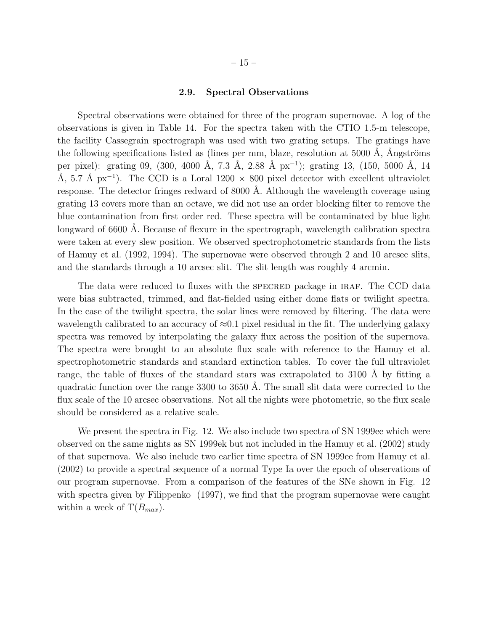## 2.9. Spectral Observations

Spectral observations were obtained for three of the program supernovae. A log of the observations is given in Table 14. For the spectra taken with the CTIO 1.5-m telescope, the facility Cassegrain spectrograph was used with two grating setups. The gratings have the following specifications listed as (lines per mm, blaze, resolution at  $5000 \text{ Å}$ , Ångströms per pixel): grating 09, (300, 4000 Å, 7.3 Å, 2.88 Å px<sup>-1</sup>); grating 13, (150, 5000 Å, 14 Å, 5.7 Å px<sup>-1</sup>). The CCD is a Loral 1200  $\times$  800 pixel detector with excellent ultraviolet response. The detector fringes redward of 8000 Å. Although the wavelength coverage using grating 13 covers more than an octave, we did not use an order blocking filter to remove the blue contamination from first order red. These spectra will be contaminated by blue light longward of 6600 Å. Because of flexure in the spectrograph, wavelength calibration spectra were taken at every slew position. We observed spectrophotometric standards from the lists of Hamuy et al. (1992, 1994). The supernovae were observed through 2 and 10 arcsec slits, and the standards through a 10 arcsec slit. The slit length was roughly 4 arcmin.

The data were reduced to fluxes with the SPECRED package in IRAF. The CCD data were bias subtracted, trimmed, and flat-fielded using either dome flats or twilight spectra. In the case of the twilight spectra, the solar lines were removed by filtering. The data were wavelength calibrated to an accuracy of  $\approx 0.1$  pixel residual in the fit. The underlying galaxy spectra was removed by interpolating the galaxy flux across the position of the supernova. The spectra were brought to an absolute flux scale with reference to the Hamuy et al. spectrophotometric standards and standard extinction tables. To cover the full ultraviolet range, the table of fluxes of the standard stars was extrapolated to 3100 Å by fitting a quadratic function over the range  $3300$  to  $3650$  Å. The small slit data were corrected to the flux scale of the 10 arcsec observations. Not all the nights were photometric, so the flux scale should be considered as a relative scale.

We present the spectra in Fig. 12. We also include two spectra of SN 1999ee which were observed on the same nights as SN 1999ek but not included in the Hamuy et al. (2002) study of that supernova. We also include two earlier time spectra of SN 1999ee from Hamuy et al. (2002) to provide a spectral sequence of a normal Type Ia over the epoch of observations of our program supernovae. From a comparison of the features of the SNe shown in Fig. 12 with spectra given by Filippenko  $(1997)$ , we find that the program supernovae were caught within a week of  $T(B_{max})$ .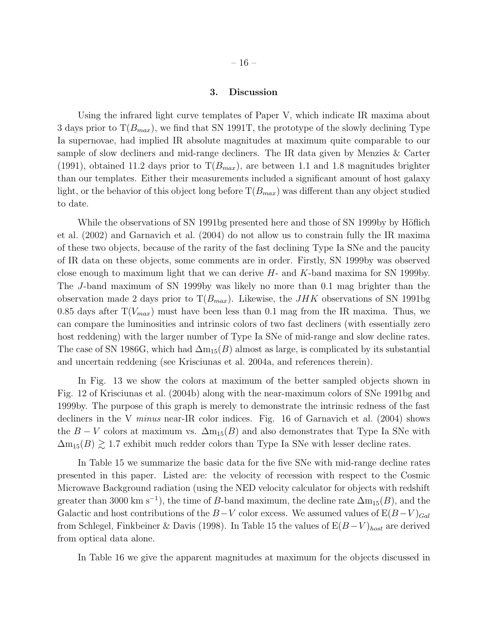## 3. Discussion

Using the infrared light curve templates of Paper V, which indicate IR maxima about 3 days prior to  $T(B_{max})$ , we find that SN 1991T, the prototype of the slowly declining Type Ia supernovae, had implied IR absolute magnitudes at maximum quite comparable to our sample of slow decliners and mid-range decliners. The IR data given by Menzies & Carter (1991), obtained 11.2 days prior to  $T(B_{max})$ , are between 1.1 and 1.8 magnitudes brighter than our templates. Either their measurements included a significant amount of host galaxy light, or the behavior of this object long before  $T(B_{max})$  was different than any object studied to date.

While the observations of SN 1991bg presented here and those of SN 1999by by Höflich et al. (2002) and Garnavich et al. (2004) do not allow us to constrain fully the IR maxima of these two objects, because of the rarity of the fast declining Type Ia SNe and the paucity of IR data on these objects, some comments are in order. Firstly, SN 1999by was observed close enough to maximum light that we can derive  $H$ - and  $K$ -band maxima for SN 1999by. The J-band maximum of SN 1999by was likely no more than 0.1 mag brighter than the observation made 2 days prior to  $T(B_{max})$ . Likewise, the JHK observations of SN 1991bg 0.85 days after  $T(V_{max})$  must have been less than 0.1 mag from the IR maxima. Thus, we can compare the luminosities and intrinsic colors of two fast decliners (with essentially zero host reddening) with the larger number of Type Ia SNe of mid-range and slow decline rates. The case of SN 1986G, which had  $\Delta m_{15}(B)$  almost as large, is complicated by its substantial and uncertain reddening (see Krisciunas et al. 2004a, and references therein).

In Fig. 13 we show the colors at maximum of the better sampled objects shown in Fig. 12 of Krisciunas et al. (2004b) along with the near-maximum colors of SNe 1991bg and 1999by. The purpose of this graph is merely to demonstrate the intrinsic redness of the fast decliners in the V *minus* near-IR color indices. Fig. 16 of Garnavich et al. (2004) shows the  $B - V$  colors at maximum vs.  $\Delta m_{15}(B)$  and also demonstrates that Type Ia SNe with  $\Delta m_{15}(B) \gtrsim 1.7$  exhibit much redder colors than Type Ia SNe with lesser decline rates.

In Table 15 we summarize the basic data for the five SNe with mid-range decline rates presented in this paper. Listed are: the velocity of recession with respect to the Cosmic Microwave Background radiation (using the NED velocity calculator for objects with redshift greater than 3000 km s<sup>-1</sup>), the time of B-band maximum, the decline rate  $\Delta m_{15}(B)$ , and the Galactic and host contributions of the  $B-V$  color excess. We assumed values of  $E(B-V)_{Gal}$ from Schlegel, Finkbeiner & Davis (1998). In Table 15 the values of  $E(B-V)_{host}$  are derived from optical data alone.

In Table 16 we give the apparent magnitudes at maximum for the objects discussed in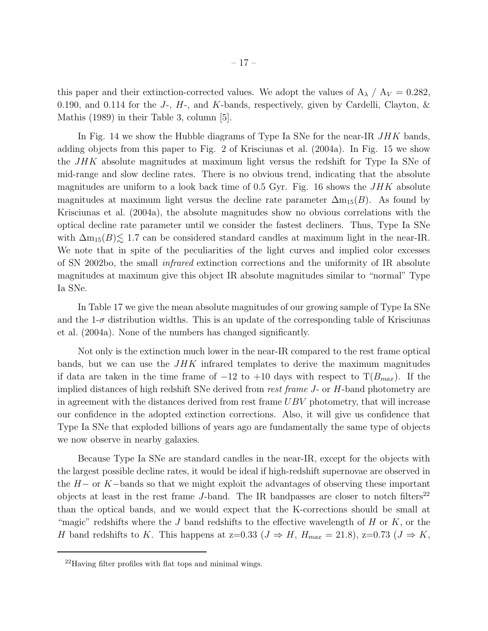this paper and their extinction-corrected values. We adopt the values of  $A_{\lambda}$  /  $A_{V} = 0.282$ , 0.190, and 0.114 for the J-,  $H$ -, and K-bands, respectively, given by Cardelli, Clayton,  $\&$ Mathis (1989) in their Table 3, column [5].

In Fig. 14 we show the Hubble diagrams of Type Ia SNe for the near-IR JHK bands, adding objects from this paper to Fig. 2 of Krisciunas et al. (2004a). In Fig. 15 we show the  $JHK$  absolute magnitudes at maximum light versus the redshift for Type Ia SNe of mid-range and slow decline rates. There is no obvious trend, indicating that the absolute magnitudes are uniform to a look back time of 0.5 Gyr. Fig. 16 shows the  $JHK$  absolute magnitudes at maximum light versus the decline rate parameter  $\Delta m_{15}(B)$ . As found by Krisciunas et al. (2004a), the absolute magnitudes show no obvious correlations with the optical decline rate parameter until we consider the fastest decliners. Thus, Type Ia SNe with  $\Delta m_{15}(B) \lesssim 1.7$  can be considered standard candles at maximum light in the near-IR. We note that in spite of the peculiarities of the light curves and implied color excesses of SN 2002bo, the small *infrared* extinction corrections and the uniformity of IR absolute magnitudes at maximum give this object IR absolute magnitudes similar to "normal" Type Ia SNe.

In Table 17 we give the mean absolute magnitudes of our growing sample of Type Ia SNe and the  $1-\sigma$  distribution widths. This is an update of the corresponding table of Krisciunas et al. (2004a). None of the numbers has changed significantly.

Not only is the extinction much lower in the near-IR compared to the rest frame optical bands, but we can use the  $JHK$  infrared templates to derive the maximum magnitudes if data are taken in the time frame of  $-12$  to  $+10$  days with respect to  $T(B_{max})$ . If the implied distances of high redshift SNe derived from *rest frame* J- or H-band photometry are in agreement with the distances derived from rest frame  $UBV$  photometry, that will increase our confidence in the adopted extinction corrections. Also, it will give us confidence that Type Ia SNe that exploded billions of years ago are fundamentally the same type of objects we now observe in nearby galaxies.

Because Type Ia SNe are standard candles in the near-IR, except for the objects with the largest possible decline rates, it would be ideal if high-redshift supernovae are observed in the  $H-$  or K−bands so that we might exploit the advantages of observing these important objects at least in the rest frame J-band. The IR bandpasses are closer to notch filters<sup>22</sup> than the optical bands, and we would expect that the K-corrections should be small at "magic" redshifts where the J band redshifts to the effective wavelength of  $H$  or  $K$ , or the H band redshifts to K. This happens at z=0.33 ( $J \Rightarrow H$ ,  $H_{max} = 21.8$ ), z=0.73 ( $J \Rightarrow K$ ,

<sup>22</sup>Having filter profiles with flat tops and minimal wings.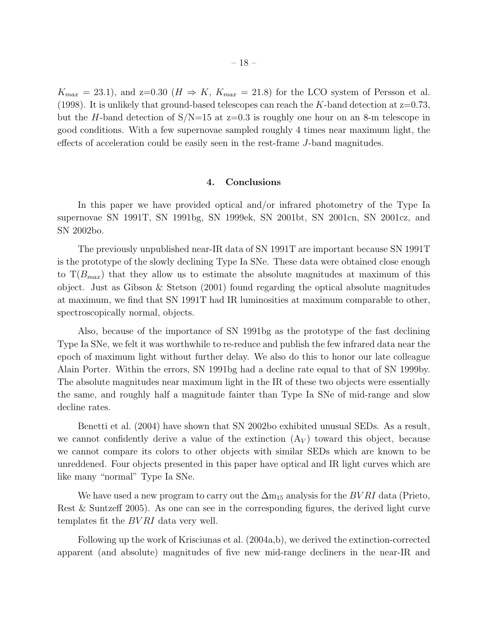$K_{max} = 23.1$ , and  $z=0.30$  ( $H \Rightarrow K$ ,  $K_{max} = 21.8$ ) for the LCO system of Persson et al. (1998). It is unlikely that ground-based telescopes can reach the K-band detection at  $z=0.73$ , but the H-band detection of  $S/N=15$  at  $z=0.3$  is roughly one hour on an 8-m telescope in good conditions. With a few supernovae sampled roughly 4 times near maximum light, the effects of acceleration could be easily seen in the rest-frame J-band magnitudes.

## 4. Conclusions

In this paper we have provided optical and/or infrared photometry of the Type Ia supernovae SN 1991T, SN 1991bg, SN 1999ek, SN 2001bt, SN 2001cn, SN 2001cz, and SN 2002bo.

The previously unpublished near-IR data of SN 1991T are important because SN 1991T is the prototype of the slowly declining Type Ia SNe. These data were obtained close enough to  $T(B_{max})$  that they allow us to estimate the absolute magnitudes at maximum of this object. Just as Gibson  $\&$  Stetson (2001) found regarding the optical absolute magnitudes at maximum, we find that SN 1991T had IR luminosities at maximum comparable to other, spectroscopically normal, objects.

Also, because of the importance of SN 1991bg as the prototype of the fast declining Type Ia SNe, we felt it was worthwhile to re-reduce and publish the few infrared data near the epoch of maximum light without further delay. We also do this to honor our late colleague Alain Porter. Within the errors, SN 1991bg had a decline rate equal to that of SN 1999by. The absolute magnitudes near maximum light in the IR of these two objects were essentially the same, and roughly half a magnitude fainter than Type Ia SNe of mid-range and slow decline rates.

Benetti et al. (2004) have shown that SN 2002bo exhibited unusual SEDs. As a result, we cannot confidently derive a value of the extinction  $(A_V)$  toward this object, because we cannot compare its colors to other objects with similar SEDs which are known to be unreddened. Four objects presented in this paper have optical and IR light curves which are like many "normal" Type Ia SNe.

We have used a new program to carry out the  $\Delta m_{15}$  analysis for the  $BVRI$  data (Prieto, Rest & Suntzeff 2005). As one can see in the corresponding figures, the derived light curve templates fit the *BVRI* data very well.

Following up the work of Krisciunas et al. (2004a,b), we derived the extinction-corrected apparent (and absolute) magnitudes of five new mid-range decliners in the near-IR and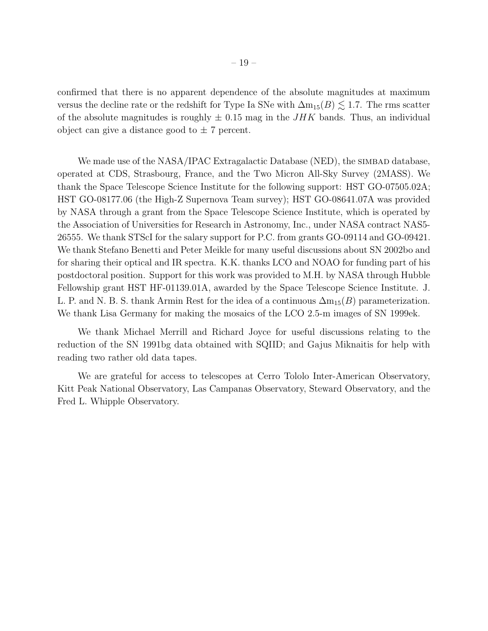confirmed that there is no apparent dependence of the absolute magnitudes at maximum versus the decline rate or the redshift for Type Ia SNe with  $\Delta m_{15}(B) \lesssim 1.7$ . The rms scatter of the absolute magnitudes is roughly  $\pm$  0.15 mag in the *JHK* bands. Thus, an individual object can give a distance good to  $\pm$  7 percent.

We made use of the NASA/IPAC Extragalactic Database (NED), the SIMBAD database, operated at CDS, Strasbourg, France, and the Two Micron All-Sky Survey (2MASS). We thank the Space Telescope Science Institute for the following support: HST GO-07505.02A; HST GO-08177.06 (the High-Z Supernova Team survey); HST GO-08641.07A was provided by NASA through a grant from the Space Telescope Science Institute, which is operated by the Association of Universities for Research in Astronomy, Inc., under NASA contract NAS5- 26555. We thank STScI for the salary support for P.C. from grants GO-09114 and GO-09421. We thank Stefano Benetti and Peter Meikle for many useful discussions about SN 2002bo and for sharing their optical and IR spectra. K.K. thanks LCO and NOAO for funding part of his postdoctoral position. Support for this work was provided to M.H. by NASA through Hubble Fellowship grant HST HF-01139.01A, awarded by the Space Telescope Science Institute. J. L. P. and N. B. S. thank Armin Rest for the idea of a continuous  $\Delta m_{15}(B)$  parameterization. We thank Lisa Germany for making the mosaics of the LCO 2.5-m images of SN 1999ek.

We thank Michael Merrill and Richard Joyce for useful discussions relating to the reduction of the SN 1991bg data obtained with SQIID; and Gajus Miknaitis for help with reading two rather old data tapes.

We are grateful for access to telescopes at Cerro Tololo Inter-American Observatory, Kitt Peak National Observatory, Las Campanas Observatory, Steward Observatory, and the Fred L. Whipple Observatory.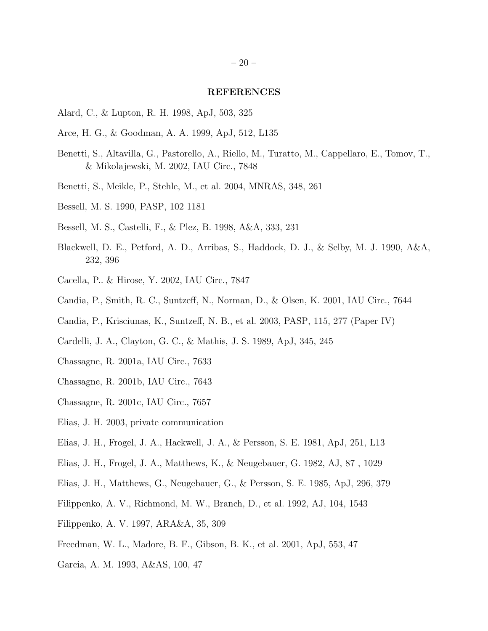#### REFERENCES

- Alard, C., & Lupton, R. H. 1998, ApJ, 503, 325
- Arce, H. G., & Goodman, A. A. 1999, ApJ, 512, L135
- Benetti, S., Altavilla, G., Pastorello, A., Riello, M., Turatto, M., Cappellaro, E., Tomov, T., & Mikolajewski, M. 2002, IAU Circ., 7848
- Benetti, S., Meikle, P., Stehle, M., et al. 2004, MNRAS, 348, 261
- Bessell, M. S. 1990, PASP, 102 1181
- Bessell, M. S., Castelli, F., & Plez, B. 1998, A&A, 333, 231
- Blackwell, D. E., Petford, A. D., Arribas, S., Haddock, D. J., & Selby, M. J. 1990, A&A, 232, 396
- Cacella, P.. & Hirose, Y. 2002, IAU Circ., 7847
- Candia, P., Smith, R. C., Suntzeff, N., Norman, D., & Olsen, K. 2001, IAU Circ., 7644
- Candia, P., Krisciunas, K., Suntzeff, N. B., et al. 2003, PASP, 115, 277 (Paper IV)
- Cardelli, J. A., Clayton, G. C., & Mathis, J. S. 1989, ApJ, 345, 245
- Chassagne, R. 2001a, IAU Circ., 7633
- Chassagne, R. 2001b, IAU Circ., 7643
- Chassagne, R. 2001c, IAU Circ., 7657
- Elias, J. H. 2003, private communication
- Elias, J. H., Frogel, J. A., Hackwell, J. A., & Persson, S. E. 1981, ApJ, 251, L13
- Elias, J. H., Frogel, J. A., Matthews, K., & Neugebauer, G. 1982, AJ, 87 , 1029
- Elias, J. H., Matthews, G., Neugebauer, G., & Persson, S. E. 1985, ApJ, 296, 379
- Filippenko, A. V., Richmond, M. W., Branch, D., et al. 1992, AJ, 104, 1543
- Filippenko, A. V. 1997, ARA&A, 35, 309
- Freedman, W. L., Madore, B. F., Gibson, B. K., et al. 2001, ApJ, 553, 47
- Garcia, A. M. 1993, A&AS, 100, 47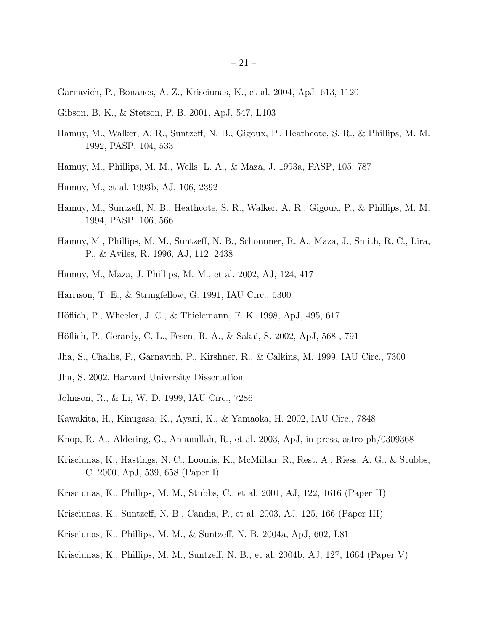- Garnavich, P., Bonanos, A. Z., Krisciunas, K., et al. 2004, ApJ, 613, 1120
- Gibson, B. K., & Stetson, P. B. 2001, ApJ, 547, L103
- Hamuy, M., Walker, A. R., Suntzeff, N. B., Gigoux, P., Heathcote, S. R., & Phillips, M. M. 1992, PASP, 104, 533
- Hamuy, M., Phillips, M. M., Wells, L. A., & Maza, J. 1993a, PASP, 105, 787
- Hamuy, M., et al. 1993b, AJ, 106, 2392
- Hamuy, M., Suntzeff, N. B., Heathcote, S. R., Walker, A. R., Gigoux, P., & Phillips, M. M. 1994, PASP, 106, 566
- Hamuy, M., Phillips, M. M., Suntzeff, N. B., Schommer, R. A., Maza, J., Smith, R. C., Lira, P., & Aviles, R. 1996, AJ, 112, 2438
- Hamuy, M., Maza, J. Phillips, M. M., et al. 2002, AJ, 124, 417
- Harrison, T. E., & Stringfellow, G. 1991, IAU Circ., 5300
- Höflich, P., Wheeler, J. C., & Thielemann, F. K. 1998, ApJ, 495, 617
- Höflich, P., Gerardy, C. L., Fesen, R. A., & Sakai, S. 2002, ApJ, 568, 791
- Jha, S., Challis, P., Garnavich, P., Kirshner, R., & Calkins, M. 1999, IAU Circ., 7300
- Jha, S. 2002, Harvard University Dissertation
- Johnson, R., & Li, W. D. 1999, IAU Circ., 7286
- Kawakita, H., Kinugasa, K., Ayani, K., & Yamaoka, H. 2002, IAU Circ., 7848
- Knop, R. A., Aldering, G., Amanullah, R., et al. 2003, ApJ, in press, astro-ph/0309368
- Krisciunas, K., Hastings, N. C., Loomis, K., McMillan, R., Rest, A., Riess, A. G., & Stubbs, C. 2000, ApJ, 539, 658 (Paper I)
- Krisciunas, K., Phillips, M. M., Stubbs, C., et al. 2001, AJ, 122, 1616 (Paper II)
- Krisciunas, K., Suntzeff, N. B., Candia, P., et al. 2003, AJ, 125, 166 (Paper III)
- Krisciunas, K., Phillips, M. M., & Suntzeff, N. B. 2004a, ApJ, 602, L81
- Krisciunas, K., Phillips, M. M., Suntzeff, N. B., et al. 2004b, AJ, 127, 1664 (Paper V)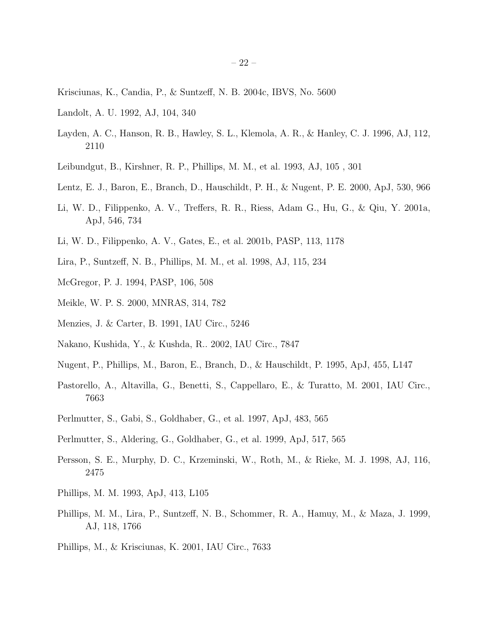- Krisciunas, K., Candia, P., & Suntzeff, N. B. 2004c, IBVS, No. 5600
- Landolt, A. U. 1992, AJ, 104, 340
- Layden, A. C., Hanson, R. B., Hawley, S. L., Klemola, A. R., & Hanley, C. J. 1996, AJ, 112, 2110
- Leibundgut, B., Kirshner, R. P., Phillips, M. M., et al. 1993, AJ, 105 , 301
- Lentz, E. J., Baron, E., Branch, D., Hauschildt, P. H., & Nugent, P. E. 2000, ApJ, 530, 966
- Li, W. D., Filippenko, A. V., Treffers, R. R., Riess, Adam G., Hu, G., & Qiu, Y. 2001a, ApJ, 546, 734
- Li, W. D., Filippenko, A. V., Gates, E., et al. 2001b, PASP, 113, 1178
- Lira, P., Suntzeff, N. B., Phillips, M. M., et al. 1998, AJ, 115, 234
- McGregor, P. J. 1994, PASP, 106, 508
- Meikle, W. P. S. 2000, MNRAS, 314, 782
- Menzies, J. & Carter, B. 1991, IAU Circ., 5246
- Nakano, Kushida, Y., & Kushda, R.. 2002, IAU Circ., 7847
- Nugent, P., Phillips, M., Baron, E., Branch, D., & Hauschildt, P. 1995, ApJ, 455, L147
- Pastorello, A., Altavilla, G., Benetti, S., Cappellaro, E., & Turatto, M. 2001, IAU Circ., 7663
- Perlmutter, S., Gabi, S., Goldhaber, G., et al. 1997, ApJ, 483, 565
- Perlmutter, S., Aldering, G., Goldhaber, G., et al. 1999, ApJ, 517, 565
- Persson, S. E., Murphy, D. C., Krzeminski, W., Roth, M., & Rieke, M. J. 1998, AJ, 116, 2475
- Phillips, M. M. 1993, ApJ, 413, L105
- Phillips, M. M., Lira, P., Suntzeff, N. B., Schommer, R. A., Hamuy, M., & Maza, J. 1999, AJ, 118, 1766
- Phillips, M., & Krisciunas, K. 2001, IAU Circ., 7633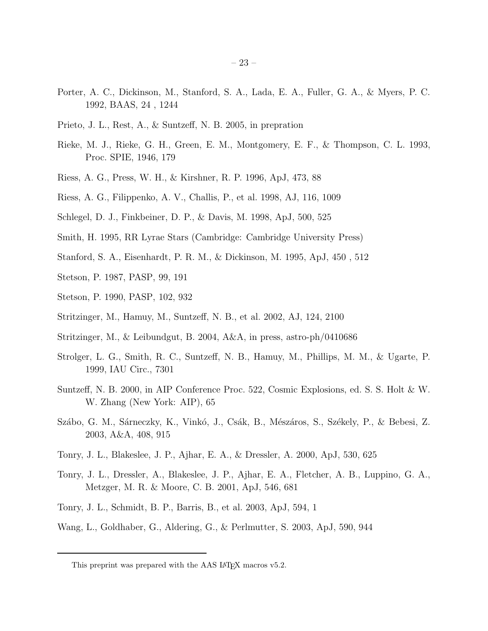- Porter, A. C., Dickinson, M., Stanford, S. A., Lada, E. A., Fuller, G. A., & Myers, P. C. 1992, BAAS, 24 , 1244
- Prieto, J. L., Rest, A., & Suntzeff, N. B. 2005, in prepration
- Rieke, M. J., Rieke, G. H., Green, E. M., Montgomery, E. F., & Thompson, C. L. 1993, Proc. SPIE, 1946, 179
- Riess, A. G., Press, W. H., & Kirshner, R. P. 1996, ApJ, 473, 88
- Riess, A. G., Filippenko, A. V., Challis, P., et al. 1998, AJ, 116, 1009
- Schlegel, D. J., Finkbeiner, D. P., & Davis, M. 1998, ApJ, 500, 525
- Smith, H. 1995, RR Lyrae Stars (Cambridge: Cambridge University Press)
- Stanford, S. A., Eisenhardt, P. R. M., & Dickinson, M. 1995, ApJ, 450 , 512
- Stetson, P. 1987, PASP, 99, 191
- Stetson, P. 1990, PASP, 102, 932
- Stritzinger, M., Hamuy, M., Suntzeff, N. B., et al. 2002, AJ, 124, 2100
- Stritzinger, M., & Leibundgut, B. 2004, A&A, in press, astro-ph/0410686
- Strolger, L. G., Smith, R. C., Suntzeff, N. B., Hamuy, M., Phillips, M. M., & Ugarte, P. 1999, IAU Circ., 7301
- Suntzeff, N. B. 2000, in AIP Conference Proc. 522, Cosmic Explosions, ed. S. S. Holt & W. W. Zhang (New York: AIP), 65
- Szábo, G. M., Sárneczky, K., Vinkó, J., Csák, B., Mészáros, S., Székely, P., & Bebesi, Z. 2003, A&A, 408, 915
- Tonry, J. L., Blakeslee, J. P., Ajhar, E. A., & Dressler, A. 2000, ApJ, 530, 625
- Tonry, J. L., Dressler, A., Blakeslee, J. P., Ajhar, E. A., Fletcher, A. B., Luppino, G. A., Metzger, M. R. & Moore, C. B. 2001, ApJ, 546, 681
- Tonry, J. L., Schmidt, B. P., Barris, B., et al. 2003, ApJ, 594, 1
- Wang, L., Goldhaber, G., Aldering, G., & Perlmutter, S. 2003, ApJ, 590, 944

This preprint was prepared with the AAS LAT<sub>E</sub>X macros v5.2.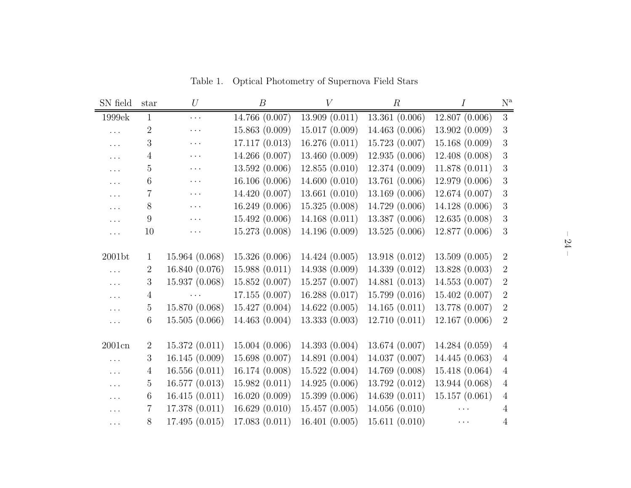| SN field           | star            | $\mathnormal{U}$ | $\boldsymbol{B}$ | V              | $\boldsymbol{R}$ | Ι              | $\mathbf{N}^{\text{a}}$ |
|--------------------|-----------------|------------------|------------------|----------------|------------------|----------------|-------------------------|
| 1999ek             | $\mathbf{1}$    | $\cdots$         | 14.766 (0.007)   | 13.909(0.011)  | 13.361(0.006)    | 12.807(0.006)  | 3                       |
| .                  | $\sqrt{2}$      | $\cdots$         | 15.863 (0.009)   | 15.017(0.009)  | 14.463 (0.006)   | 13.902 (0.009) | $\sqrt{3}$              |
| .                  | 3               | $\cdots$         | 17.117(0.013)    | 16.276(0.011)  | 15.723 (0.007)   | 15.168 (0.009) | $\sqrt{3}$              |
| $\cdots$           | $\overline{4}$  | $\cdots$         | 14.266 (0.007)   | 13.460 (0.009) | 12.935(0.006)    | 12.408 (0.008) | $\boldsymbol{3}$        |
| $\ldots$           | 5               | $\cdots$         | 13.592 (0.006)   | 12.855(0.010)  | 12.374 (0.009)   | 11.878(0.011)  | $\sqrt{3}$              |
| $\cdots$           | $6\phantom{.}6$ | $\cdots$         | 16.106 (0.006)   | 14.600(0.010)  | 13.761 (0.006)   | 12.979 (0.006) | $\sqrt{3}$              |
| $\cdots$           | 7               | $\cdots$         | 14.420 (0.007)   | 13.661(0.010)  | 13.169 (0.006)   | 12.674 (0.007) | $\boldsymbol{3}$        |
| $\cdots$           | 8               | $\cdots$         | 16.249 (0.006)   | 15.325(0.008)  | 14.729 (0.006)   | 14.128 (0.006) | $\boldsymbol{3}$        |
| .                  | 9               | $\cdots$         | 15.492 (0.006)   | 14.168(0.011)  | 13.387 (0.006)   | 12.635(0.008)  | $\sqrt{3}$              |
| $\cdots$           | 10              | $\cdots$         | 15.273 (0.008)   | 14.196 (0.009) | 13.525 (0.006)   | 12.877 (0.006) | 3                       |
|                    |                 |                  |                  |                |                  |                |                         |
| 2001 <sub>bt</sub> | $\mathbf{1}$    | 15.964 (0.068)   | 15.326 (0.006)   | 14.424 (0.005) | 13.918 (0.012)   | 13.509(0.005)  | $\sqrt{2}$              |
| .                  | $\overline{2}$  | 16.840 (0.076)   | 15.988(0.011)    | 14.938 (0.009) | 14.339 (0.012)   | 13.828 (0.003) | $\boldsymbol{2}$        |
| $\cdots$           | 3               | 15.937 (0.068)   | 15.852 (0.007)   | 15.257 (0.007) | 14.881 (0.013)   | 14.553 (0.007) | $\boldsymbol{2}$        |
| $\ddots$           | $\overline{4}$  | $\cdots$         | 17.155 (0.007)   | 16.288(0.017)  | 15.799(0.016)    | 15.402 (0.007) | $\sqrt{2}$              |
| $\cdots$           | $\mathbf 5$     | 15.870 (0.068)   | 15.427 (0.004)   | 14.622 (0.005) | 14.165(0.011)    | 13.778 (0.007) | $\boldsymbol{2}$        |
| $\cdots$           | $6\phantom{.}6$ | 15.505(0.066)    | 14.463 (0.004)   | 13.333(0.003)  | 12.710(0.011)    | 12.167(0.006)  | $\sqrt{2}$              |
|                    |                 |                  |                  |                |                  |                |                         |
| 2001cn             | $\overline{2}$  | 15.372(0.011)    | 15.004 (0.006)   | 14.393 (0.004) | 13.674 (0.007)   | 14.284 (0.059) | $\overline{4}$          |
| $\cdots$           | 3               | 16.145(0.009)    | 15.698 (0.007)   | 14.891 (0.004) | 14.037 (0.007)   | 14.445 (0.063) | $\overline{4}$          |
| $\ddotsc$          | $\overline{4}$  | 16.556(0.011)    | 16.174 (0.008)   | 15.522(0.004)  | 14.769 (0.008)   | 15.418 (0.064) | $\overline{4}$          |
| $\cdots$           | $\overline{5}$  | 16.577(0.013)    | 15.982(0.011)    | 14.925(0.006)  | 13.792 (0.012)   | 13.944 (0.068) | $\overline{4}$          |
| $\cdots$           | $6\phantom{.}6$ | 16.415(0.011)    | 16.020(0.009)    | 15.399 (0.006) | 14.639(0.011)    | 15.157(0.061)  | $\overline{4}$          |
| $\cdots$           | $\overline{7}$  | 17.378 (0.011)   | 16.629(0.010)    | 15.457(0.005)  | 14.056(0.010)    |                | 4                       |
| $\cdots$           | 8               | 17.495(0.015)    | 17.083 (0.011)   | 16.401 (0.005) | 15.611(0.010)    | $\cdots$       | 4                       |

Table 1. Optical Photometry of Supernova Field Stars

 $-24 -$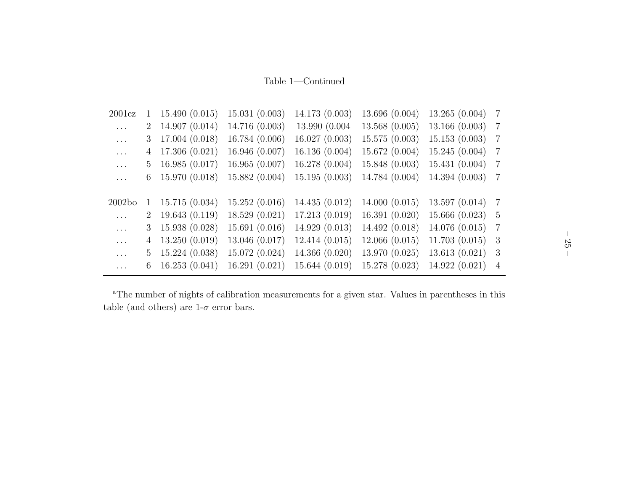Table 1—Continued

| 2001cz   | 1              | 15.490(0.015) | 15.031(0.003)  | 14.173 (0.003) | 13.696 (0.004) | 13.265(0.004)  | $\overline{7}$ |
|----------|----------------|---------------|----------------|----------------|----------------|----------------|----------------|
| $\ldots$ | $2^{-}$        | 14.907(0.014) | 14.716 (0.003) | 13.990 (0.004) | 13.568(0.005)  | 13.166(0.003)  | $\overline{7}$ |
| $\cdots$ | 3              | 17.004(0.018) | 16.784 (0.006) | 16.027(0.003)  | 15.575(0.003)  | 15.153(0.003)  | $\overline{7}$ |
| $\cdots$ | 4              | 17.306(0.021) | 16.946 (0.007) | 16.136(0.004)  | 15.672(0.004)  | 15.245(0.004)  | $\overline{7}$ |
| $\cdots$ | 5              | 16.985(0.017) | 16.965(0.007)  | 16.278(0.004)  | 15.848(0.003)  | 15.431(0.004)  | 7              |
| $\cdots$ | 6              | 15.970(0.018) | 15.882 (0.004) | 15.195(0.003)  | 14.784 (0.004) | 14.394(0.003)  | -7             |
|          |                |               |                |                |                |                |                |
|          |                |               |                |                |                |                |                |
| 2002bo   | 1              | 15.715(0.034) | 15.252(0.016)  | 14.435(0.012)  | 14.000(0.015)  | 13.597(0.014)  | $\overline{7}$ |
| $\cdots$ | $2^{\circ}$    | 19.643(0.119) | 18.529(0.021)  | 17.213(0.019)  | 16.391(0.020)  | 15.666(0.023)  | -5             |
| $\ldots$ | 3              | 15.938(0.028) | 15.691(0.016)  | 14.929(0.013)  | 14.492 (0.018) | 14.076(0.015)  | -7             |
| $\cdots$ | $\overline{4}$ | 13.250(0.019) | 13.046 (0.017) | 12.414(0.015)  | 12.066(0.015)  | 11.703(0.015)  | -3             |
| $\ldots$ | 5.             | 15.224(0.038) | 15.072 (0.024) | 14.366(0.020)  | 13.970 (0.025) | 13.613(0.021)  | 3              |
| $\cdots$ | 6              | 16.253(0.041) | 16.291(0.021)  | 15.644(0.019)  | 15.278 (0.023) | 14.922 (0.021) | $\overline{4}$ |

<sup>a</sup>The number of nights of calibration measurements for a given star. Values in parentheses in this table (and others) are  $1-\sigma$  error bars.

– 25 –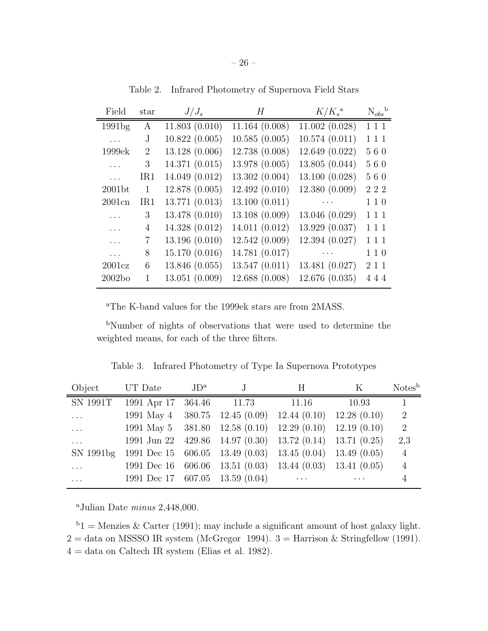| Field              | star           | $J/J_s$        | H              | $K/K_s^{\rm a}$ | $N_{obs}$ <sup>b</sup> |
|--------------------|----------------|----------------|----------------|-----------------|------------------------|
| 1991 <sub>bg</sub> | A              | 11.803(0.010)  | 11.164(0.008)  | 11.002(0.028)   | 111                    |
| $\cdots$           | J              | 10.822(0.005)  | 10.585(0.005)  | 10.574(0.011)   | 111                    |
| 1999ek             | $\overline{2}$ | 13.128 (0.006) | 12.738 (0.008) | 12.649 (0.022)  | 560                    |
|                    | 3              | 14.371 (0.015) | 13.978 (0.005) | 13.805 (0.044)  | 560                    |
| $\ldots$           | IR1            | 14.049 (0.012) | 13.302(0.004)  | 13.100 (0.028)  | 560                    |
| 2001 <sub>bt</sub> | 1              | 12.878 (0.005) | 12.492 (0.010) | 12.380 (0.009)  | 222                    |
| 2001cn             | IR1            | 13.771 (0.013) | 13.100(0.011)  | $\ldots$        | 110                    |
|                    | 3              | 13.478 (0.010) | 13.108(0.009)  | 13.046 (0.029)  | 111                    |
|                    | 4              | 14.328 (0.012) | 14.011 (0.012) | 13.929 (0.037)  | 111                    |
| .                  | 7              | 13.196 (0.010) | 12.542(0.009)  | 12.394 (0.027)  | 111                    |
|                    | 8              | 15.170 (0.016) | 14.781 (0.017) | $\cdots$        | 110                    |
| 2001cz             | 6              | 13.846 (0.055) | 13.547(0.011)  | 13.481 (0.027)  | 2 1 1                  |
| 2002bo             | 1              | 13.051 (0.009) | 12.688 (0.008) | 12.676(0.035)   | 444                    |

Table 2. Infrared Photometry of Supernova Field Stars

<sup>a</sup>The K-band values for the 1999ek stars are from 2MASS.

<sup>b</sup>Number of nights of observations that were used to determine the weighted means, for each of the three filters.

Table 3. Infrared Photometry of Type Ia Supernova Prototypes

| Object          | UT Date                         | $JD^{\rm a}$ |                                                           | Н        | K           | Notes <sup>b</sup> |
|-----------------|---------------------------------|--------------|-----------------------------------------------------------|----------|-------------|--------------------|
| <b>SN 1991T</b> | 1991 Apr 17                     | 364.46       | 11.73                                                     | 11.16    | 10.93       |                    |
| .               | 1991 May 4                      |              | $380.75$ 12.45 (0.09) 12.44 (0.10)                        |          | 12.28(0.10) | 2                  |
| .               |                                 |              | 1991 May 5 381.80 12.58 $(0.10)$ 12.29 $(0.10)$           |          | 12.19(0.10) | 2                  |
| .               |                                 |              | 1991 Jun 22 429.86 14.97 (0.30) 13.72 (0.14) 13.71 (0.25) |          |             | 2,3                |
| SN 1991bg       |                                 |              | 1991 Dec 15 606.05 13.49 $(0.03)$ 13.45 $(0.04)$          |          | 13.49(0.05) | $\overline{4}$     |
| $\cdots$        | 1991 Dec 16                     |              | $606.06$ 13.51 $(0.03)$ 13.44 $(0.03)$                    |          | 13.41(0.05) | $\overline{4}$     |
| $\cdots$        | 1991 Dec 17 607.05 13.59 (0.04) |              |                                                           | $\cdots$ |             |                    |

<sup>a</sup>Julian Date *minus* 2,448,000.

 $b_1$  = Menzies & Carter (1991); may include a significant amount of host galaxy light.  $2 =$  data on MSSSO IR system (McGregor 1994).  $3 =$  Harrison & Stringfellow (1991).  $4 =$  data on Caltech IR system (Elias et al. 1982).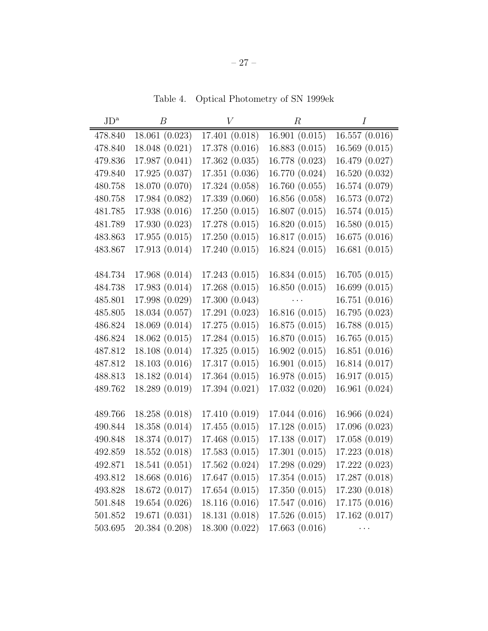Table 4. Optical Photometry of SN 1999ek

| $JD^a$  | $\boldsymbol{B}$ | V              | $\,R$                                                                                    | $\overline{I}$ |
|---------|------------------|----------------|------------------------------------------------------------------------------------------|----------------|
| 478.840 | 18.061 (0.023)   | 17.401 (0.018) | 16.901(0.015)                                                                            | 16.557(0.016)  |
| 478.840 | 18.048 (0.021)   | 17.378 (0.016) | 16.883(0.015)                                                                            | 16.569(0.015)  |
| 479.836 | 17.987 (0.041)   | 17.362 (0.035) | 16.778 (0.023)                                                                           | 16.479 (0.027) |
| 479.840 | 17.925 (0.037)   | 17.351 (0.036) | 16.770 (0.024)                                                                           | 16.520 (0.032) |
| 480.758 | 18.070 (0.070)   | 17.324 (0.058) | 16.760(0.055)                                                                            | 16.574 (0.079) |
| 480.758 | 17.984 (0.082)   | 17.339 (0.060) | 16.856 (0.058)                                                                           | 16.573 (0.072) |
| 481.785 | 17.938 (0.016)   | 17.250(0.015)  | 16.807(0.015)                                                                            | 16.574(0.015)  |
| 481.789 | 17.930 (0.023)   | 17.278 (0.015) | 16.820(0.015)                                                                            | 16.580(0.015)  |
| 483.863 | 17.955(0.015)    | 17.250(0.015)  | 16.817(0.015)                                                                            | 16.675(0.016)  |
| 483.867 | 17.913(0.014)    | 17.240 (0.015) | 16.824(0.015)                                                                            | 16.681(0.015)  |
|         |                  |                |                                                                                          |                |
| 484.734 | 17.968 (0.014)   | 17.243(0.015)  | 16.834(0.015)                                                                            | 16.705(0.015)  |
| 484.738 | 17.983 (0.014)   | 17.268(0.015)  | 16.850(0.015)                                                                            | 16.699(0.015)  |
| 485.801 | 17.998 (0.029)   | 17.300 (0.043) | $\mathcal{L}_{\text{max}}$ and $\mathcal{L}_{\text{max}}$ and $\mathcal{L}_{\text{max}}$ | 16.751(0.016)  |
| 485.805 | 18.034 (0.057)   | 17.291 (0.023) | 16.816(0.015)                                                                            | 16.795 (0.023) |
| 486.824 | 18.069 (0.014)   | 17.275(0.015)  | 16.875(0.015)                                                                            | 16.788 (0.015) |
| 486.824 | 18.062(0.015)    | 17.284 (0.015) | 16.870 (0.015)                                                                           | 16.765(0.015)  |
| 487.812 | 18.108 (0.014)   | 17.325(0.015)  | 16.902(0.015)                                                                            | 16.851(0.016)  |
| 487.812 | 18.103(0.016)    | 17.317(0.015)  | 16.901(0.015)                                                                            | 16.814 (0.017) |
| 488.813 | 18.182 (0.014)   | 17.364 (0.015) | 16.978 (0.015)                                                                           | 16.917(0.015)  |
| 489.762 | 18.289 (0.019)   | 17.394 (0.021) | 17.032 (0.020)                                                                           | 16.961 (0.024) |
|         |                  |                |                                                                                          |                |
| 489.766 | 18.258 (0.018)   | 17.410 (0.019) | 17.044 (0.016)                                                                           | 16.966 (0.024) |
| 490.844 | 18.358 (0.014)   | 17.455(0.015)  | 17.128 (0.015)                                                                           | 17.096 (0.023) |
| 490.848 | 18.374 (0.017)   | 17.468 (0.015) | 17.138 (0.017)                                                                           | 17.058 (0.019) |
| 492.859 | 18.552 (0.018)   | 17.583 (0.015) | 17.301 (0.015)                                                                           | 17.223 (0.018) |
| 492.871 | 18.541(0.051)    | 17.562 (0.024) | 17.298 (0.029)                                                                           | 17.222 (0.023) |
| 493.812 | 18.668 (0.016)   | 17.647 (0.015) | 17.354(0.015)                                                                            | 17.287 (0.018) |
| 493.828 | 18.672 (0.017)   | 17.654(0.015)  | 17.350(0.015)                                                                            | 17.230(0.018)  |
| 501.848 | 19.654(0.026)    | 18.116(0.016)  | 17.547(0.016)                                                                            | 17.175(0.016)  |
| 501.852 | 19.671(0.031)    | 18.131(0.018)  | 17.526(0.015)                                                                            | 17.162 (0.017) |
| 503.695 | 20.384 (0.208)   | 18.300 (0.022) | 17.663 (0.016)                                                                           | $\cdots$       |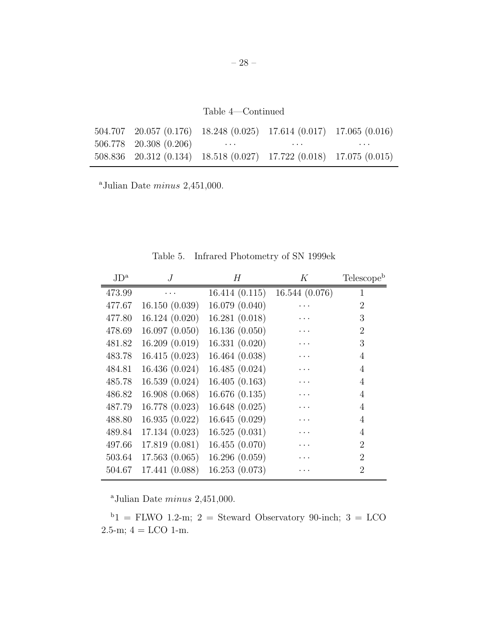Table 4—Continued

| $504.707$ $20.057$ $(0.176)$ $18.248$ $(0.025)$ $17.614$ $(0.017)$ $17.065$ $(0.016)$ |          |          |
|---------------------------------------------------------------------------------------|----------|----------|
| $506.778$ $20.308$ $(0.206)$ $\cdots$                                                 | $\cdots$ | $\cdots$ |
| 508.836 20.312 (0.134) 18.518 (0.027) 17.722 (0.018) 17.075 (0.015)                   |          |          |

<sup>a</sup>Julian Date  $minus 2,451,000$ .

| $JD^{\rm a}$ | $\overline{J}$ | H              | Κ                    | Telescope <sup>b</sup> |
|--------------|----------------|----------------|----------------------|------------------------|
| 473.99       | .              | 16.414(0.115)  | 16.544 (0.076)       | $\mathbf{1}$           |
| 477.67       | 16.150(0.039)  | 16.079 (0.040) |                      | 2                      |
| 477.80       | 16.124(0.020)  | 16.281(0.018)  |                      | 3                      |
| 478.69       | 16.097(0.050)  | 16.136(0.050)  |                      | 2                      |
| 481.82       | 16.209(0.019)  | 16.331(0.020)  | $\ddot{\phantom{0}}$ | 3                      |
| 483.78       | 16.415(0.023)  | 16.464 (0.038) |                      | 4                      |
| 484.81       | 16.436 (0.024) | 16.485 (0.024) |                      | 4                      |
| 485.78       | 16.539(0.024)  | 16.405(0.163)  |                      | 4                      |
| 486.82       | 16.908(0.068)  | 16.676(0.135)  | $\ddots$             | 4                      |
| 487.79       | 16.778 (0.023) | 16.648 (0.025) |                      | $\overline{4}$         |
| 488.80       | 16.935(0.022)  | 16.645(0.029)  |                      | $\overline{4}$         |
| 489.84       | 17.134(0.023)  | 16.525(0.031)  |                      | 4                      |
| 497.66       | 17.819(0.081)  | 16.455(0.070)  | $\ddot{\phantom{0}}$ | $\mathfrak{D}$         |
| 503.64       | 17.563(0.065)  | 16.296(0.059)  |                      | $\overline{2}$         |
| 504.67       | 17.441 (0.088) | 16.253(0.073)  |                      | 2                      |
|              |                |                |                      |                        |

Table 5. Infrared Photometry of SN 1999ek

<sup>a</sup>Julian Date  $minus\ 2,451,000$ .

 $b_1$  = FLWO 1.2-m; 2 = Steward Observatory 90-inch; 3 = LCO  $2.5 \text{-m}$ ;  $4 =$  LCO 1-m.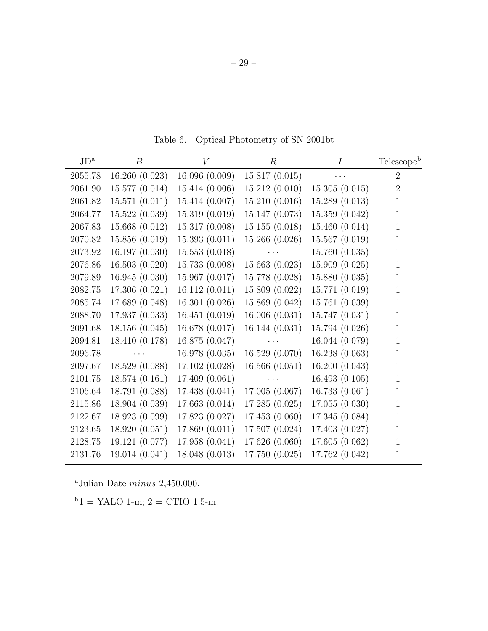| $JD^a$  | $\boldsymbol{B}$ | V              | $\boldsymbol{R}$                                                                        | $\overline{I}$ | Telescope <sup>b</sup> |
|---------|------------------|----------------|-----------------------------------------------------------------------------------------|----------------|------------------------|
| 2055.78 | 16.260(0.023)    | 16.096(0.009)  | 15.817(0.015)                                                                           |                | $\overline{2}$         |
| 2061.90 | 15.577 (0.014)   | 15.414 (0.006) | 15.212(0.010)                                                                           | 15.305(0.015)  | $\overline{2}$         |
| 2061.82 | 15.571(0.011)    | 15.414 (0.007) | 15.210(0.016)                                                                           | 15.289(0.013)  | $\mathbf{1}$           |
| 2064.77 | 15.522(0.039)    | 15.319(0.019)  | 15.147 (0.073)                                                                          | 15.359(0.042)  | $\mathbf 1$            |
| 2067.83 | 15.668(0.012)    | 15.317(0.008)  | 15.155(0.018)                                                                           | 15.460(0.014)  | $\mathbf{1}$           |
| 2070.82 | 15.856(0.019)    | 15.393(0.011)  | 15.266(0.026)                                                                           | 15.567(0.019)  | $\mathbf 1$            |
| 2073.92 | 16.197(0.030)    | 15.553(0.018)  | $\mathbf{r} \cdot \mathbf{r}$ , where $\mathbf{r} \cdot \mathbf{r}$                     | 15.760(0.035)  | $\mathbf 1$            |
| 2076.86 | 16.503(0.020)    | 15.733(0.008)  | 15.663(0.023)                                                                           | 15.909(0.025)  | $\mathbf 1$            |
| 2079.89 | 16.945(0.030)    | 15.967(0.017)  | 15.778 (0.028)                                                                          | 15.880(0.035)  | $\mathbf 1$            |
| 2082.75 | 17.306(0.021)    | 16.112(0.011)  | 15.809(0.022)                                                                           | 15.771 (0.019) | $\mathbf{1}$           |
| 2085.74 | 17.689 (0.048)   | 16.301(0.026)  | 15.869 (0.042)                                                                          | 15.761(0.039)  | 1                      |
| 2088.70 | 17.937 (0.033)   | 16.451(0.019)  | 16.006(0.031)                                                                           | 15.747(0.031)  | $\mathbf 1$            |
| 2091.68 | 18.156(0.045)    | 16.678 (0.017) | 16.144(0.031)                                                                           | 15.794 (0.026) | 1                      |
| 2094.81 | 18.410 (0.178)   | 16.875(0.047)  | $\mathcal{L}^{\text{max}}_{\text{max}}$ , where $\mathcal{L}^{\text{max}}_{\text{max}}$ | 16.044 (0.079) | $\mathbf{1}$           |
| 2096.78 | $\cdots$         | 16.978(0.035)  | 16.529(0.070)                                                                           | 16.238(0.063)  | 1                      |
| 2097.67 | 18.529(0.088)    | 17.102(0.028)  | 16.566(0.051)                                                                           | 16.200(0.043)  | 1                      |
| 2101.75 | 18.574(0.161)    | 17.409(0.061)  | $\cdots$                                                                                | 16.493(0.105)  | $\mathbf{1}$           |
| 2106.64 | 18.791 (0.088)   | 17.438(0.041)  | 17.005(0.067)                                                                           | 16.733(0.061)  | $\mathbf{1}$           |
| 2115.86 | 18.904(0.039)    | 17.663(0.014)  | 17.285(0.025)                                                                           | 17.055(0.030)  | $\mathbf{1}$           |
| 2122.67 | 18.923 (0.099)   | 17.823 (0.027) | 17.453(0.060)                                                                           | 17.345(0.084)  | $\mathbf{1}$           |
| 2123.65 | 18.920(0.051)    | 17.869(0.011)  | 17.507(0.024)                                                                           | 17.403(0.027)  | $\mathbf{1}$           |
| 2128.75 | 19.121 (0.077)   | 17.958 (0.041) | 17.626(0.060)                                                                           | 17.605(0.062)  | $\mathbf{1}$           |
| 2131.76 | 19.014 (0.041)   | 18.048 (0.013) | 17.750 (0.025)                                                                          | 17.762 (0.042) | $\mathbf{1}$           |

Table 6. Optical Photometry of SN 2001bt

<sup>a</sup>Julian Date  $minus 2,450,000$ .

 $b_1$  = YALO 1-m; 2 = CTIO 1.5-m.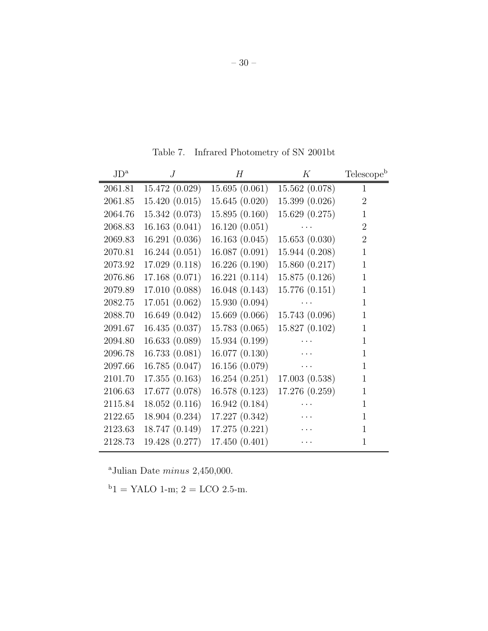| $JD^a$  | . J            | Н              | К              | Telescopeb     |
|---------|----------------|----------------|----------------|----------------|
| 2061.81 | 15.472(0.029)  | 15.695(0.061)  | 15.562(0.078)  | 1              |
| 2061.85 | 15.420(0.015)  | 15.645(0.020)  | 15.399 (0.026) | $\overline{2}$ |
| 2064.76 | 15.342 (0.073) | 15.895(0.160)  | 15.629 (0.275) | 1              |
| 2068.83 | 16.163(0.041)  | 16.120(0.051)  |                | $\overline{2}$ |
| 2069.83 | 16.291(0.036)  | 16.163(0.045)  | 15.653(0.030)  | $\overline{2}$ |
| 2070.81 | 16.244(0.051)  | 16.087(0.091)  | 15.944 (0.208) | $\mathbf{1}$   |
| 2073.92 | 17.029(0.118)  | 16.226(0.190)  | 15.860 (0.217) | $\mathbf 1$    |
| 2076.86 | 17.168(0.071)  | 16.221(0.114)  | 15.875 (0.126) | 1              |
| 2079.89 | 17.010 (0.088) | 16.048(0.143)  | 15.776(0.151)  | $\mathbf{1}$   |
| 2082.75 | 17.051(0.062)  | 15.930(0.094)  |                | 1              |
| 2088.70 | 16.649(0.042)  | 15.669(0.066)  | 15.743 (0.096) | 1              |
| 2091.67 | 16.435 (0.037) | 15.783 (0.065) | 15.827 (0.102) | $\mathbf 1$    |
| 2094.80 | 16.633(0.089)  | 15.934(0.199)  |                | 1              |
| 2096.78 | 16.733(0.081)  | 16.077(0.130)  |                | 1              |
| 2097.66 | 16.785(0.047)  | 16.156(0.079)  |                | $\mathbf{1}$   |
| 2101.70 | 17.355(0.163)  | 16.254(0.251)  | 17.003(0.538)  | $\mathbf{1}$   |
| 2106.63 | 17.677 (0.078) | 16.578(0.123)  | 17.276 (0.259) | 1              |
| 2115.84 | 18.052(0.116)  | 16.942(0.184)  |                | 1              |
| 2122.65 | 18.904 (0.234) | 17.227 (0.342) |                | $\mathbf{1}$   |
| 2123.63 | 18.747 (0.149) | 17.275 (0.221) |                | 1              |
| 2128.73 | 19.428 (0.277) | 17.450 (0.401) | .              | 1              |
|         |                |                |                |                |

Table 7. Infrared Photometry of SN 2001bt

 $^{\rm a}$  Julian Date  $minus$  2,450,000.

 $b_1$  = YALO 1-m; 2 = LCO 2.5-m.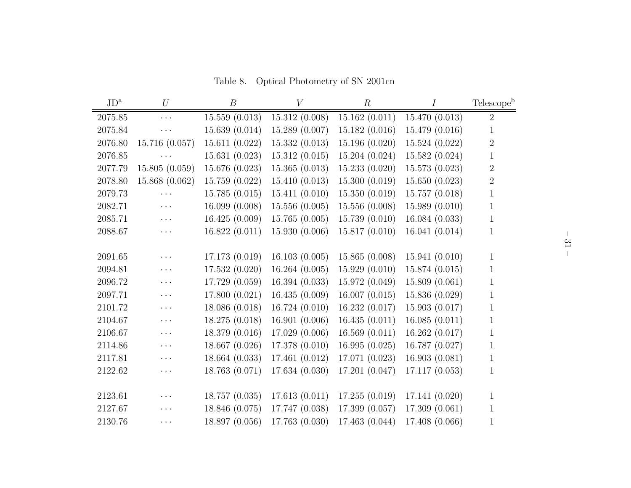Table 8. Optical Photometry of SN 2001cn

| $JD^a$  | U              | $\boldsymbol{B}$ | V              | $\boldsymbol{R}$ | $\overline{I}$ | Telescope <sup>b</sup> |
|---------|----------------|------------------|----------------|------------------|----------------|------------------------|
| 2075.85 | $\ldots$       | 15.559(0.013)    | 15.312(0.008)  | 15.162(0.011)    | 15.470 (0.013) | $\overline{2}$         |
| 2075.84 | $\ddotsc$ .    | 15.639(0.014)    | 15.289 (0.007) | 15.182(0.016)    | 15.479 (0.016) | $\mathbf{1}$           |
| 2076.80 | 15.716 (0.057) | 15.611(0.022)    | 15.332(0.013)  | 15.196 (0.020)   | 15.524 (0.022) | $\sqrt{2}$             |
| 2076.85 | $\ddots$       | 15.631(0.023)    | 15.312(0.015)  | 15.204(0.024)    | 15.582 (0.024) | $\mathbf{1}$           |
| 2077.79 | 15.805(0.059)  | 15.676 (0.023)   | 15.365(0.013)  | 15.233(0.020)    | 15.573 (0.023) | $\sqrt{2}$             |
| 2078.80 | 15.868 (0.062) | 15.759 (0.022)   | 15.410(0.013)  | 15.300(0.019)    | 15.650(0.023)  | $\sqrt{2}$             |
| 2079.73 | $\ldots$       | 15.785(0.015)    | 15.411(0.010)  | 15.350(0.019)    | 15.757 (0.018) | $\mathbf{1}$           |
| 2082.71 | $\Box$ .       | 16.099 (0.008)   | 15.556(0.005)  | 15.556 (0.008)   | 15.989 (0.010) | $\mathbf{1}$           |
| 2085.71 | $\ddotsc$ .    | 16.425(0.009)    | 15.765(0.005)  | 15.739(0.010)    | 16.084 (0.033) | $\mathbf{1}$           |
| 2088.67 | $\ddots$       | 16.822(0.011)    | 15.930 (0.006) | 15.817(0.010)    | 16.041 (0.014) | $\mathbf{1}$           |
|         |                |                  |                |                  |                |                        |
| 2091.65 | $\ddots$       | 17.173(0.019)    | 16.103(0.005)  | 15.865(0.008)    | 15.941(0.010)  | $\mathbf{1}$           |
| 2094.81 | $\ldots$       | 17.532 (0.020)   | 16.264(0.005)  | 15.929(0.010)    | 15.874 (0.015) | $\mathbf{1}$           |
| 2096.72 | $\ddots$       | 17.729 (0.059)   | 16.394(0.033)  | 15.972 (0.049)   | 15.809 (0.061) | $\mathbf{1}$           |
| 2097.71 | $\ddotsc$ .    | 17.800 (0.021)   | 16.435(0.009)  | 16.007(0.015)    | 15.836 (0.029) | $\mathbf{1}$           |
| 2101.72 | $\ldots$       | 18.086 (0.018)   | 16.724(0.010)  | 16.232(0.017)    | 15.903 (0.017) | $\mathbf{1}$           |
| 2104.67 | $\ddots$       | 18.275 (0.018)   | 16.901(0.006)  | 16.435(0.011)    | 16.085(0.011)  | $\,1$                  |
| 2106.67 | $\ldots$       | 18.379 (0.016)   | 17.029 (0.006) | 16.569(0.011)    | 16.262(0.017)  | $\mathbf{1}$           |
| 2114.86 | $\ldots$       | 18.667 (0.026)   | 17.378 (0.010) | 16.995(0.025)    | 16.787 (0.027) | $\mathbf{1}$           |
| 2117.81 | $\ldots$       | 18.664 (0.033)   | 17.461 (0.012) | 17.071 (0.023)   | 16.903(0.081)  | $\mathbf{1}$           |
| 2122.62 | $\ddots$       | 18.763 (0.071)   | 17.634 (0.030) | 17.201 (0.047)   | 17.117(0.053)  | $\mathbf{1}$           |
|         |                |                  |                |                  |                |                        |
| 2123.61 | $\cdots$       | 18.757 (0.035)   | 17.613(0.011)  | 17.255(0.019)    | 17.141 (0.020) | $\mathbf{1}$           |
| 2127.67 | $\cdots$       | 18.846 (0.075)   | 17.747 (0.038) | 17.399 (0.057)   | 17.309 (0.061) | $\,1$                  |
| 2130.76 | $\cdots$       | 18.897 (0.056)   | 17.763 (0.030) | 17.463 (0.044)   | 17.408 (0.066) | $\mathbf{1}$           |
|         |                |                  |                |                  |                |                        |

– 31 –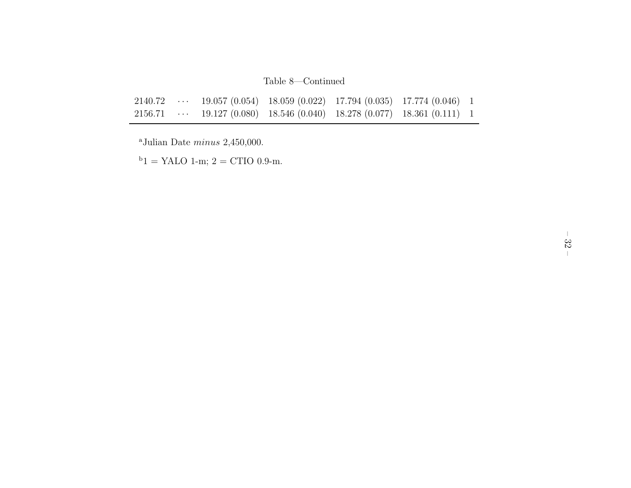## Table 8—Continued

|  |  | 2140.72  19.057 (0.054) 18.059 (0.022) 17.794 (0.035) 17.774 (0.046) 1                                                         |  |
|--|--|--------------------------------------------------------------------------------------------------------------------------------|--|
|  |  | $2156.71 \quad \cdots \quad 19.127 \; (0.080) \quad 18.546 \; (0.040) \quad 18.278 \; (0.077) \quad 18.361 \; (0.111) \quad 1$ |  |

 $^{\rm a}$  Julian Date  $minus$  2,450,000.

 $^{\rm b}1$  = YALO 1-m; 2 = CTIO 0.9-m.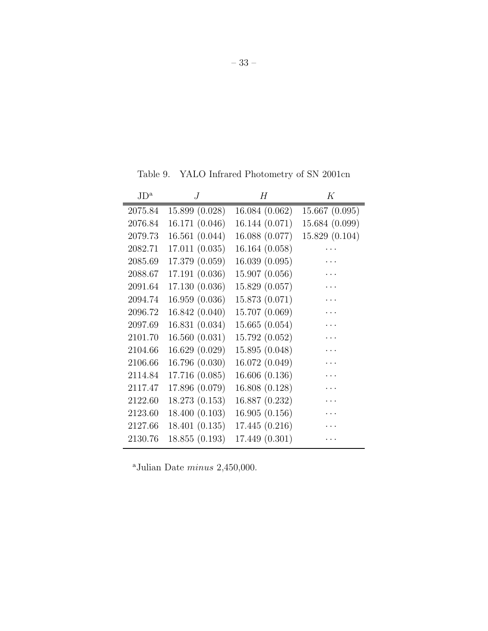Table 9. YALO Infrared Photometry of SN 2001cn

| $JD^{\rm a}$ | . J            | Н              | К              |
|--------------|----------------|----------------|----------------|
| 2075.84      | 15.899 (0.028) | 16.084 (0.062) | 15.667(0.095)  |
| 2076.84      | 16.171 (0.046) | 16.144(0.071)  | 15.684 (0.099) |
| 2079.73      | 16.561 (0.044) | 16.088 (0.077) | 15.829 (0.104) |
| 2082.71      | 17.011 (0.035) | 16.164 (0.058) |                |
| 2085.69      | 17.379 (0.059) | 16.039(0.095)  |                |
| 2088.67      | 17.191 (0.036) | 15.907 (0.056) |                |
| 2091.64      | 17.130 (0.036) | 15.829 (0.057) |                |
| 2094.74      | 16.959 (0.036) | 15.873 (0.071) |                |
| 2096.72      | 16.842 (0.040) | 15.707 (0.069) |                |
| 2097.69      | 16.831(0.034)  | 15.665(0.054)  |                |
| 2101.70      | 16.560(0.031)  | 15.792 (0.052) |                |
| 2104.66      | 16.629 (0.029) | 15.895 (0.048) |                |
| 2106.66      | 16.796 (0.030) | 16.072(0.049)  |                |
| 2114.84      | 17.716 (0.085) | 16.606(0.136)  |                |
| 2117.47      | 17.896 (0.079) | 16.808 (0.128) | .              |
| 2122.60      | 18.273 (0.153) | 16.887 (0.232) |                |
| 2123.60      | 18.400 (0.103) | 16.905(0.156)  |                |
| 2127.66      | 18.401(0.135)  | 17.445(0.216)  |                |
| 2130.76      | 18.855 (0.193) | 17.449 (0.301) |                |

<sup>a</sup>Julian Date  $minus\ 2,450,000.$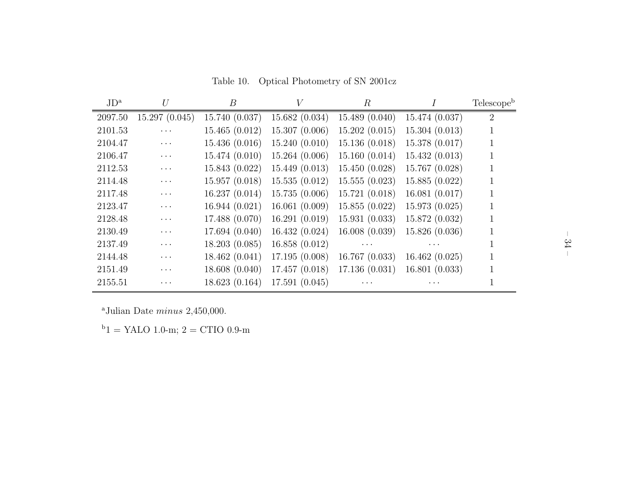| $JD^a$  | U             | B              | V             | $\boldsymbol{R}$ |                | Telescope <sup>b</sup> |
|---------|---------------|----------------|---------------|------------------|----------------|------------------------|
| 2097.50 | 15.297(0.045) | 15.740 (0.037) | 15.682(0.034) | 15.489(0.040)    | 15.474 (0.037) | 2                      |
| 2101.53 | $\cdots$      | 15.465(0.012)  | 15.307(0.006) | 15.202(0.015)    | 15.304(0.013)  | 1                      |
| 2104.47 | $\cdots$      | 15.436 (0.016) | 15.240(0.010) | 15.136(0.018)    | 15.378 (0.017) |                        |
| 2106.47 | $\cdots$      | 15.474(0.010)  | 15.264(0.006) | 15.160(0.014)    | 15.432(0.013)  |                        |
| 2112.53 | $\cdots$      | 15.843 (0.022) | 15.449(0.013) | 15.450(0.028)    | 15.767 (0.028) |                        |
| 2114.48 | $\cdots$      | 15.957(0.018)  | 15.535(0.012) | 15.555(0.023)    | 15.885(0.022)  |                        |
| 2117.48 | $\cdots$      | 16.237(0.014)  | 15.735(0.006) | 15.721(0.018)    | 16.081(0.017)  |                        |
| 2123.47 | $\cdots$      | 16.944(0.021)  | 16.061(0.009) | 15.855(0.022)    | 15.973(0.025)  |                        |
| 2128.48 | $\cdots$      | 17.488 (0.070) | 16.291(0.019) | 15.931(0.033)    | 15.872 (0.032) |                        |
| 2130.49 | $\cdots$      | 17.694(0.040)  | 16.432(0.024) | 16.008(0.039)    | 15.826 (0.036) |                        |
| 2137.49 | $\cdots$      | 18.203(0.085)  | 16.858(0.012) | $\cdots$         |                |                        |
| 2144.48 | .             | 18.462 (0.041) | 17.195(0.008) | 16.767(0.033)    | 16.462(0.025)  |                        |
| 2151.49 | .             | 18.608(0.040)  | 17.457(0.018) | 17.136(0.031)    | 16.801(0.033)  |                        |
| 2155.51 |               | 18.623 (0.164) | 17.591(0.045) |                  |                |                        |

<sup>a</sup>Julian Date  $minus\ 2,450,000.$ 

 $\mathrm{^{b}1}$  = YALO 1.0-m; 2 = CTIO 0.9-m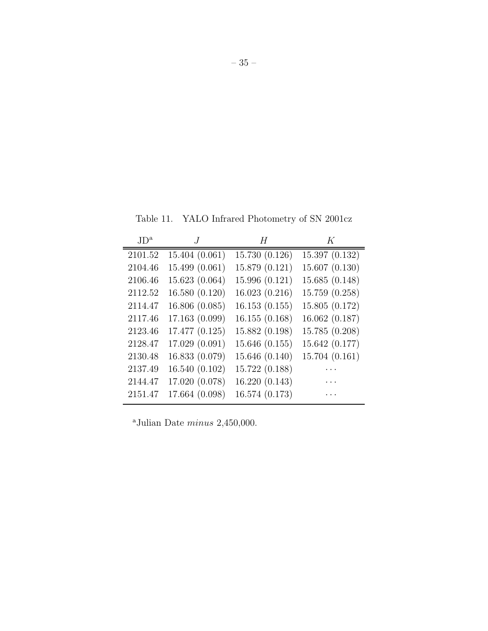Table 11. YALO Infrared Photometry of SN 2001cz

| $J\mathrm{D}^{\mathrm{a}}$ |                | H              | K              |
|----------------------------|----------------|----------------|----------------|
| 2101.52                    | 15.404(0.061)  | 15.730 (0.126) | 15.397(0.132)  |
| 2104.46                    | 15.499 (0.061) | 15.879 (0.121) | 15.607(0.130)  |
| 2106.46                    | 15.623(0.064)  | 15.996(0.121)  | 15.685(0.148)  |
| 2112.52                    | 16.580(0.120)  | 16.023(0.216)  | 15.759 (0.258) |
| 2114.47                    | 16.806(0.085)  | 16.153(0.155)  | 15.805 (0.172) |
| 2117.46                    | 17.163 (0.099) | 16.155(0.168)  | 16.062(0.187)  |
| 2123.46                    | 17.477 (0.125) | 15.882 (0.198) | 15.785 (0.208) |
| 2128.47                    | 17.029 (0.091) | 15.646(0.155)  | 15.642 (0.177) |
| 2130.48                    | 16.833 (0.079) | 15.646 (0.140) | 15.704(0.161)  |
| 2137.49                    | 16.540(0.102)  | 15.722 (0.188) |                |
| 2144.47                    | 17.020 (0.078) | 16.220 (0.143) |                |
| 2151.47                    | 17.664 (0.098) | 16.574 (0.173) |                |

<sup>a</sup>Julian Date  $minus\ 2,450,000.$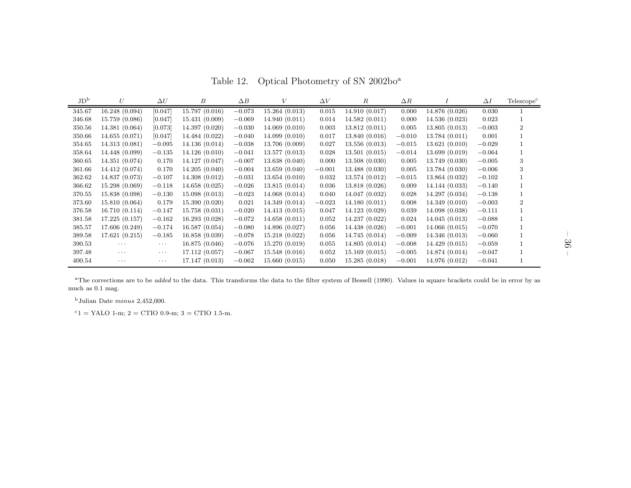Table 12. Optical Photometry of SN 2002bo<sup>a</sup>

| $\rm 1D_{p}$ | U              | $\Delta U$ | В              | $\Delta B$ | V              | $\Delta V$ | R              | $\Delta R$ |                | $\Delta I$ | Telescope <sup>c</sup> |
|--------------|----------------|------------|----------------|------------|----------------|------------|----------------|------------|----------------|------------|------------------------|
| 345.67       | 16.248 (0.094) | [0.047]    | 15.797(0.016)  | $-0.073$   | 15.264(0.013)  | 0.015      | 14.910(0.017)  | 0.000      | 14.876 (0.026) | 0.030      |                        |
| 346.68       | 15.759 (0.086) | [0.047]    | 15.431(0.009)  | $-0.069$   | 14.940(0.011)  | 0.014      | 14.582(0.011)  | 0.000      | 14.536(0.023)  | 0.023      |                        |
| 350.56       | 14.381(0.064)  | [0.073]    | 14.397 (0.020) | $-0.030$   | 14.069(0.010)  | 0.003      | 13.812(0.011)  | 0.005      | 13.805(0.013)  | $-0.003$   | $\overline{2}$         |
| 350.66       | 14.655(0.071)  | [0.047]    | 14.484 (0.022) | $-0.040$   | 14.099(0.010)  | 0.017      | 13.840(0.016)  | $-0.010$   | 13.784(0.011)  | 0.001      |                        |
| 354.65       | 14.313(0.081)  | $-0.095$   | 14.136(0.014)  | $-0.038$   | 13.706 (0.009) | 0.027      | 13.556(0.013)  | $-0.015$   | 13.621(0.010)  | $-0.029$   |                        |
| 358.64       | 14.448 (0.099) | $-0.135$   | 14.126(0.010)  | $-0.041$   | 13.577(0.013)  | 0.028      | 13.501(0.015)  | $-0.014$   | 13.699 (0.019) | $-0.064$   |                        |
| 360.65       | 14.351 (0.074) | 0.170      | 14.127 (0.047) | $-0.007$   | 13.638(0.040)  | 0.000      | 13.508(0.030)  | 0.005      | 13.749(0.030)  | $-0.005$   | 3                      |
| 361.66       | 14.412 (0.074) | 0.170      | 14.205(0.040)  | $-0.004$   | 13.659(0.040)  | $-0.001$   | 13.488(0.030)  | 0.005      | 13.784 (0.030) | $-0.006$   | 3                      |
| 362.62       | 14.837 (0.073) | $-0.107$   | 14.308(0.012)  | $-0.031$   | 13.654(0.010)  | 0.032      | 13.574 (0.012) | $-0.015$   | 13.864(0.032)  | $-0.102$   |                        |
| 366.62       | 15.298(0.069)  | $-0.118$   | 14.658(0.025)  | $-0.026$   | 13.815(0.014)  | 0.036      | 13.818(0.026)  | 0.009      | 14.144 (0.033) | $-0.140$   |                        |
| 370.55       | 15.838 (0.098) | $-0.130$   | 15.098(0.013)  | $-0.023$   | 14.068 (0.014) | 0.040      | 14.047 (0.032) | 0.028      | 14.297 (0.034) | $-0.138$   |                        |
| 373.60       | 15.810(0.064)  | 0.179      | 15.390(0.020)  | 0.021      | 14.349(0.014)  | $-0.023$   | 14.180(0.011)  | 0.008      | 14.349(0.010)  | $-0.003$   | $\overline{2}$         |
| 376.58       | 16.710(0.114)  | $-0.147$   | 15.758(0.031)  | $-0.020$   | 14.413(0.015)  | 0.047      | 14.123 (0.029) | 0.039      | 14.098(0.038)  | $-0.111$   |                        |
| 381.58       | 17.225(0.157)  | $-0.162$   | 16.293(0.028)  | $-0.072$   | 14.658(0.011)  | 0.052      | 14.237(0.022)  | 0.024      | 14.045(0.013)  | $-0.088$   |                        |
| 385.57       | 17.606 (0.249) | $-0.174$   | 16.587(0.054)  | $-0.080$   | 14.896 (0.027) | 0.056      | 14.438(0.026)  | $-0.001$   | 14.066(0.015)  | $-0.070$   |                        |
| 389.58       | 17.621(0.215)  | $-0.185$   | 16.858(0.039)  | $-0.078$   | 15.218(0.022)  | 0.056      | 14.745 (0.014) | $-0.009$   | 14.346 (0.013) | $-0.060$   |                        |
| 390.53       | $\cdots$       | $\ldots$ . | 16.875(0.046)  | $-0.076$   | 15.270(0.019)  | 0.055      | 14.805(0.014)  | $-0.008$   | 14.429(0.015)  | $-0.059$   |                        |
| 397.48       | $\cdots$       | $\cdots$   | 17.112(0.057)  | $-0.067$   | 15.548(0.016)  | 0.052      | 15.169(0.015)  | $-0.005$   | 14.874 (0.014) | $-0.047$   |                        |
| 400.54       | $\cdots$       | $\cdots$   | 17.147(0.013)  | $-0.062$   | 15.660(0.015)  | 0.050      | 15.285(0.018)  | $-0.001$   | 14.976 (0.012) | $-0.041$   |                        |

 ${}^{\text{a}}$ The corrections are to be *added* to the data. This transforms the data to the filter system of Bessell (1990). Values in square brackets could be in error by as much as 0.1 mag.

<sup>b</sup>Julian Date minus 2,452,000.

 $c_1$  = YALO 1-m; 2 = CTIO 0.9-m; 3 = CTIO 1.5-m.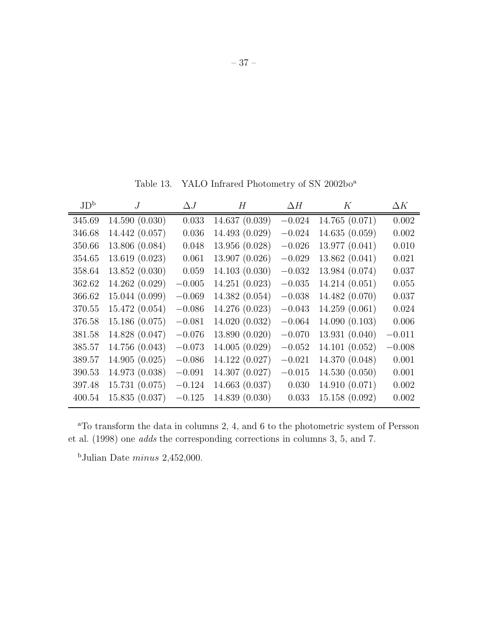Table 13. YALO Infrared Photometry of SN 2002bo $^{\rm a}$ 

| JD <sup>b</sup> | $\overline{I}$ | $\Delta J$ | H              | $\Delta H$ | Κ              | $\Delta K$ |
|-----------------|----------------|------------|----------------|------------|----------------|------------|
| 345.69          | 14.590(0.030)  | 0.033      | 14.637 (0.039) | $-0.024$   | 14.765 (0.071) | 0.002      |
| 346.68          | 14.442 (0.057) | 0.036      | 14.493 (0.029) | $-0.024$   | 14.635(0.059)  | 0.002      |
| 350.66          | 13.806 (0.084) | 0.048      | 13.956 (0.028) | $-0.026$   | 13.977 (0.041) | 0.010      |
| 354.65          | 13.619(0.023)  | 0.061      | 13.907 (0.026) | $-0.029$   | 13.862(0.041)  | 0.021      |
| 358.64          | 13.852(0.030)  | 0.059      | 14.103(0.030)  | $-0.032$   | 13.984 (0.074) | 0.037      |
| 362.62          | 14.262 (0.029) | $-0.005$   | 14.251 (0.023) | $-0.035$   | 14.214 (0.051) | 0.055      |
| 366.62          | 15.044(0.099)  | $-0.069$   | 14.382 (0.054) | $-0.038$   | 14.482 (0.070) | 0.037      |
| 370.55          | 15.472(0.054)  | $-0.086$   | 14.276 (0.023) | $-0.043$   | 14.259(0.061)  | 0.024      |
| 376.58          | 15.186 (0.075) | $-0.081$   | 14.020 (0.032) | $-0.064$   | 14.090 (0.103) | 0.006      |
| 381.58          | 14.828 (0.047) | $-0.076$   | 13.890 (0.020) | $-0.070$   | 13.931(0.040)  | $-0.011$   |
| 385.57          | 14.756 (0.043) | $-0.073$   | 14.005 (0.029) | $-0.052$   | 14.101 (0.052) | $-0.008$   |
| 389.57          | 14.905(0.025)  | $-0.086$   | 14.122 (0.027) | $-0.021$   | 14.370 (0.048) | 0.001      |
| 390.53          | 14.973 (0.038) | $-0.091$   | 14.307 (0.027) | $-0.015$   | 14.530(0.050)  | 0.001      |
| 397.48          | 15.731 (0.075) | $-0.124$   | 14.663 (0.037) | 0.030      | 14.910 (0.071) | 0.002      |
| 400.54          | 15.835(0.037)  | $-0.125$   | 14.839 (0.030) | 0.033      | 15.158 (0.092) | 0.002      |

<sup>a</sup>To transform the data in columns 2, 4, and 6 to the photometric system of Persson et al. (1998) one *adds* the corresponding corrections in columns 3, 5, and 7.

<sup>b</sup>Julian Date  $minus 2,452,000$ .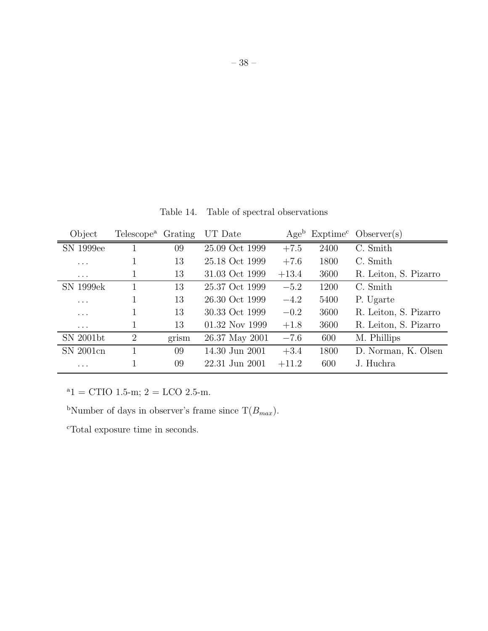| Object    | Telescope <sup>a</sup> Grating |       | UT Date        | Age <sup>b</sup> |      | $Exptimec$ Observer(s) |
|-----------|--------------------------------|-------|----------------|------------------|------|------------------------|
| SN 1999ee |                                | 09    | 25.09 Oct 1999 | $+7.5$           | 2400 | C. Smith               |
| .         |                                | 13    | 25.18 Oct 1999 | $+7.6$           | 1800 | C. Smith               |
| $\cdots$  | 1                              | 13    | 31.03 Oct 1999 | $+13.4$          | 3600 | R. Leiton, S. Pizarro  |
| SN 1999ek |                                | 13    | 25.37 Oct 1999 | $-5.2$           | 1200 | C. Smith               |
| .         |                                | 13    | 26.30 Oct 1999 | $-4.2$           | 5400 | P. Ugarte              |
| $\cdots$  | 1                              | 13    | 30.33 Oct 1999 | $-0.2$           | 3600 | R. Leiton, S. Pizarro  |
| $\cdots$  |                                | 13    | 01.32 Nov 1999 | $+1.8$           | 3600 | R. Leiton, S. Pizarro  |
| SN 2001bt | $\overline{2}$                 | grism | 26.37 May 2001 | $-7.6$           | 600  | M. Phillips            |
| SN 2001cn |                                | 09    | 14.30 Jun 2001 | $+3.4$           | 1800 | D. Norman, K. Olsen    |
| .         |                                | 09    | 22.31 Jun 2001 | $+11.2$          | 600  | J. Huchra              |

Table 14. Table of spectral observations

 $a_1 =$  CTIO 1.5-m; 2 = LCO 2.5-m.

<sup>b</sup>Number of days in observer's frame since  $T(B_{max})$ .

<sup>c</sup>Total exposure time in seconds.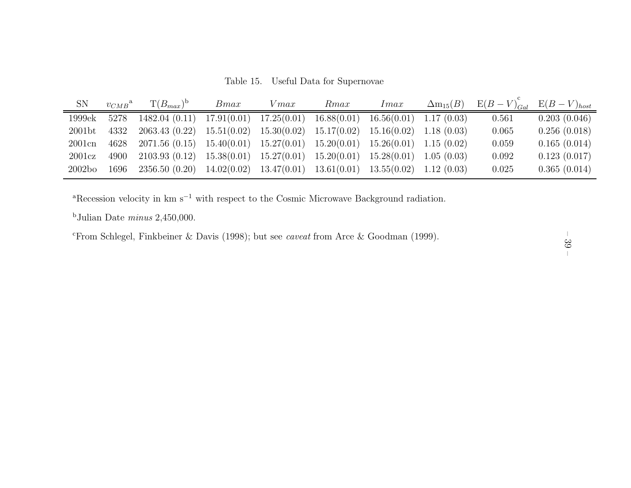Table 15. Useful Data for Supernovae

| SN                 | $v_{CMB}^{\text{a}}$ | $T(B_{max})^b$ | Bmax        | $V$ <i>max</i> | Rmax        | Imax        | $\Delta m_{15}(B)$ | $E(B-V)_{Gal}$ | $E(B-V)_{host}$ |
|--------------------|----------------------|----------------|-------------|----------------|-------------|-------------|--------------------|----------------|-----------------|
| 1999ek             | 5278                 | 1482.04(0.11)  | 17.91(0.01) | 17.25(0.01)    | 16.88(0.01) | 16.56(0.01) | 1.17(0.03)         | 0.561          | 0.203(0.046)    |
| 2001 <sub>bt</sub> | 4332                 | 2063.43 (0.22) | 15.51(0.02) | 15.30(0.02)    | 15.17(0.02) | 15.16(0.02) | 1.18(0.03)         | 0.065          | 0.256(0.018)    |
| $2001$ cn          | 4628                 | 2071.56(0.15)  | 15.40(0.01) | 15.27(0.01)    | 15.20(0.01) | 15.26(0.01) | 1.15(0.02)         | 0.059          | 0.165(0.014)    |
| 2001cz             | 4900                 | 2103.93(0.12)  | 15.38(0.01) | 15.27(0.01)    | 15.20(0.01) | 15.28(0.01) | 1.05(0.03)         | 0.092          | 0.123(0.017)    |
| 2002 <sub>bo</sub> | 1696                 | 2356.50(0.20)  | 14.02(0.02) | 13.47(0.01)    | 13.61(0.01) | 13.55(0.02) | 1.12(0.03)         | 0.025          | 0.365(0.014)    |

<sup>a</sup>Recession velocity in km s<sup>−1</sup> with respect to the Cosmic Microwave Background radiation.

<sup>b</sup>Julian Date *minus* 2,450,000.

<sup>c</sup>From Schlegel, Finkbeiner & Davis (1998); but see *caveat* from Arce & Goodman (1999).

– 39 –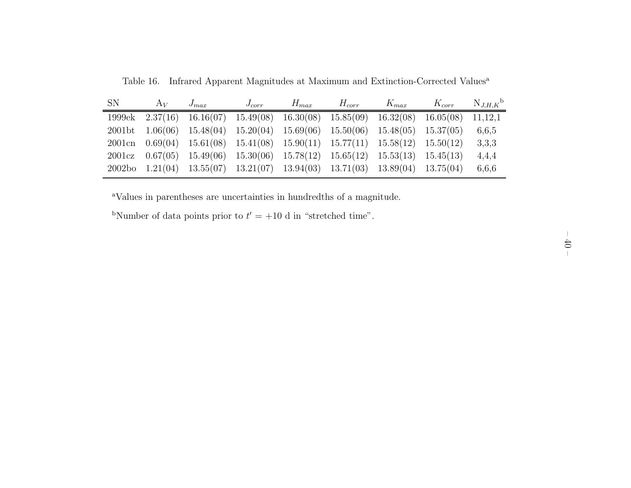| <b>SN</b> | $A_V$ | $J_{max}$                                                                                          | $J_{corr}$ | $H_{max}$ | $H_{corr}$ | $K_{max}$ | $K_{corr}$ | $N_{J,H,K}$ <sup>b</sup> |
|-----------|-------|----------------------------------------------------------------------------------------------------|------------|-----------|------------|-----------|------------|--------------------------|
| 1999ek    |       | $2.37(16)$ $16.16(07)$ $15.49(08)$ $16.30(08)$ $15.85(09)$ $16.32(08)$ $16.05(08)$                 |            |           |            |           |            | 11,12,1                  |
|           |       | $2001\text{bt}$ $1.06(06)$ $15.48(04)$ $15.20(04)$ $15.69(06)$ $15.50(06)$ $15.48(05)$ $15.37(05)$ |            |           |            |           |            | 6,6,5                    |
|           |       | 2001cn $0.69(04)$ 15.61(08) 15.41(08) 15.90(11) 15.77(11) 15.58(12) 15.50(12)                      |            |           |            |           |            | 3,3,3                    |
|           |       | 2001cz $0.67(05)$ 15.49(06) 15.30(06) 15.78(12) 15.65(12) 15.53(13) 15.45(13)                      |            |           |            |           |            | 4,4,4                    |
|           |       | $2002bo$ $1.21(04)$ $13.55(07)$ $13.21(07)$ $13.94(03)$ $13.71(03)$ $13.89(04)$ $13.75(04)$        |            |           |            |           |            | 6,6,6                    |

Table 16. Infrared Apparent Magnitudes at Maximum and Extinction-Corrected Values a

<sup>a</sup>Values in parentheses are uncertainties in hundredths of <sup>a</sup> magnitude.

<sup>b</sup>Number of data points prior to  $t' = +10$  d in "stretched time".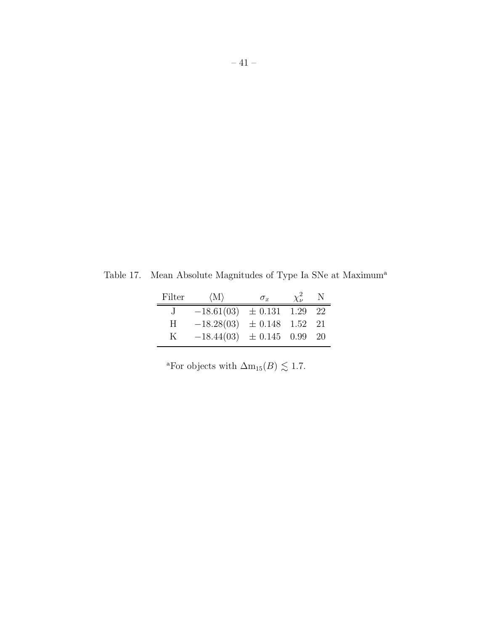Table 17. Mean Absolute Magnitudes of Type Ia SNe at Maximum<sup>a</sup>

| Filter  | $\langle M \rangle$            | $\sigma_x$          | $\chi^2_{\nu}$ | N. |
|---------|--------------------------------|---------------------|----------------|----|
| $\cdot$ | $-18.61(03) \pm 0.131$ 1.29 22 |                     |                |    |
| H       | $-18.28(03)$                   | $\pm$ 0.148 1.52 21 |                |    |
| K       | $-18.44(03) \pm 0.145$ 0.99 20 |                     |                |    |

<sup>a</sup>For objects with  $\Delta m_{15}(B) \lesssim 1.7$ .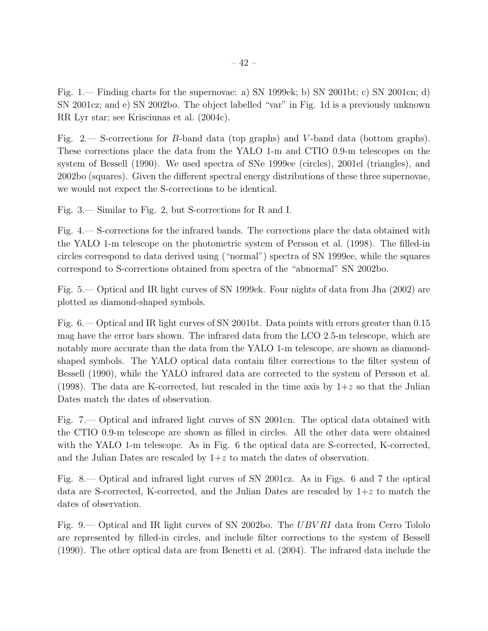Fig. 1.— Finding charts for the supernovae: a) SN 1999ek; b) SN 2001bt; c) SN 2001cn; d) SN 2001cz; and e) SN 2002bo. The object labelled "var" in Fig. 1d is a previously unknown RR Lyr star; see Krisciunas et al. (2004c).

Fig. 2.— S-corrections for B-band data (top graphs) and V -band data (bottom graphs). These corrections place the data from the YALO 1-m and CTIO 0.9-m telescopes on the system of Bessell (1990). We used spectra of SNe 1999ee (circles), 2001el (triangles), and 2002bo (squares). Given the different spectral energy distributions of these three supernovae, we would not expect the S-corrections to be identical.

Fig. 3.— Similar to Fig. 2, but S-corrections for R and I.

Fig. 4.— S-corrections for the infrared bands. The corrections place the data obtained with the YALO 1-m telescope on the photometric system of Persson et al. (1998). The filled-in circles correspond to data derived using ("normal") spectra of SN 1999ee, while the squares correspond to S-corrections obtained from spectra of the "abnormal" SN 2002bo.

Fig. 5.— Optical and IR light curves of SN 1999ek. Four nights of data from Jha (2002) are plotted as diamond-shaped symbols.

Fig. 6.— Optical and IR light curves of SN 2001bt. Data points with errors greater than 0.15 mag have the error bars shown. The infrared data from the LCO 2.5-m telescope, which are notably more accurate than the data from the YALO 1-m telescope, are shown as diamondshaped symbols. The YALO optical data contain filter corrections to the filter system of Bessell (1990), while the YALO infrared data are corrected to the system of Persson et al. (1998). The data are K-corrected, but rescaled in the time axis by  $1+z$  so that the Julian Dates match the dates of observation.

Fig. 7.— Optical and infrared light curves of SN 2001cn. The optical data obtained with the CTIO 0.9-m telescope are shown as filled in circles. All the other data were obtained with the YALO 1-m telescope. As in Fig. 6 the optical data are S-corrected, K-corrected, and the Julian Dates are rescaled by  $1+z$  to match the dates of observation.

Fig. 8.— Optical and infrared light curves of SN 2001cz. As in Figs. 6 and 7 the optical data are S-corrected, K-corrected, and the Julian Dates are rescaled by  $1+z$  to match the dates of observation.

Fig. 9.— Optical and IR light curves of SN 2002bo. The UBV RI data from Cerro Tololo are represented by filled-in circles, and include filter corrections to the system of Bessell (1990). The other optical data are from Benetti et al. (2004). The infrared data include the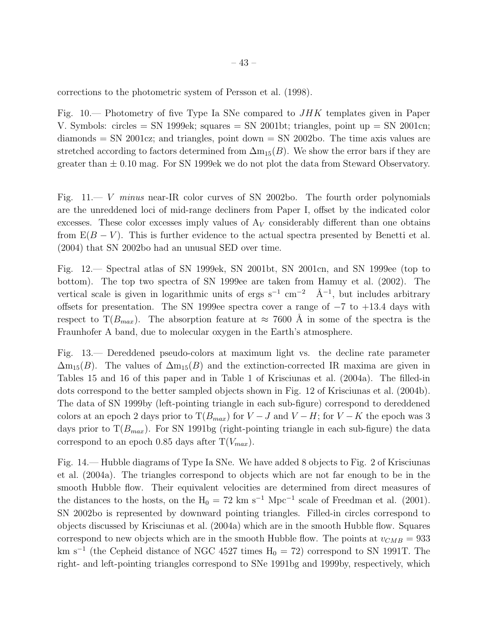corrections to the photometric system of Persson et al. (1998).

Fig. 10.— Photometry of five Type Ia SNe compared to JHK templates given in Paper V. Symbols: circles  $=$  SN 1999ek; squares  $=$  SN 2001bt; triangles, point up  $=$  SN 2001cn;  $diamonds = SN\ 2001cz$ ; and triangles, point down  $= SN\ 2002bo$ . The time axis values are stretched according to factors determined from  $\Delta m_{15}(B)$ . We show the error bars if they are greater than  $\pm$  0.10 mag. For SN 1999ek we do not plot the data from Steward Observatory.

Fig. 11.— V *minus* near-IR color curves of SN 2002bo. The fourth order polynomials are the unreddened loci of mid-range decliners from Paper I, offset by the indicated color excesses. These color excesses imply values of  $A_V$  considerably different than one obtains from  $E(B - V)$ . This is further evidence to the actual spectra presented by Benetti et al. (2004) that SN 2002bo had an unusual SED over time.

Fig. 12.— Spectral atlas of SN 1999ek, SN 2001bt, SN 2001cn, and SN 1999ee (top to bottom). The top two spectra of SN 1999ee are taken from Hamuy et al. (2002). The vertical scale is given in logarithmic units of ergs  $s^{-1}$  cm<sup>-2</sup>  $\AA^{-1}$ , but includes arbitrary offsets for presentation. The SN 1999ee spectra cover a range of  $-7$  to  $+13.4$  days with respect to  $T(B_{max})$ . The absorption feature at  $\approx 7600$  Å in some of the spectra is the Fraunhofer A band, due to molecular oxygen in the Earth's atmosphere.

Fig. 13.— Dereddened pseudo-colors at maximum light vs. the decline rate parameter  $\Delta m_{15}(B)$ . The values of  $\Delta m_{15}(B)$  and the extinction-corrected IR maxima are given in Tables 15 and 16 of this paper and in Table 1 of Krisciunas et al. (2004a). The filled-in dots correspond to the better sampled objects shown in Fig. 12 of Krisciunas et al. (2004b). The data of SN 1999by (left-pointing triangle in each sub-figure) correspond to dereddened colors at an epoch 2 days prior to  $T(B_{max})$  for  $V - J$  and  $V - H$ ; for  $V - K$  the epoch was 3 days prior to  $T(B_{max})$ . For SN 1991bg (right-pointing triangle in each sub-figure) the data correspond to an epoch 0.85 days after  $T(V_{max})$ .

Fig. 14.— Hubble diagrams of Type Ia SNe. We have added 8 objects to Fig. 2 of Krisciunas et al. (2004a). The triangles correspond to objects which are not far enough to be in the smooth Hubble flow. Their equivalent velocities are determined from direct measures of the distances to the hosts, on the  $H_0 = 72 \text{ km s}^{-1} \text{ Mpc}^{-1}$  scale of Freedman et al. (2001). SN 2002bo is represented by downward pointing triangles. Filled-in circles correspond to objects discussed by Krisciunas et al. (2004a) which are in the smooth Hubble flow. Squares correspond to new objects which are in the smooth Hubble flow. The points at  $v_{CMB} = 933$ km s<sup>-1</sup> (the Cepheid distance of NGC 4527 times  $H_0 = 72$ ) correspond to SN 1991T. The right- and left-pointing triangles correspond to SNe 1991bg and 1999by, respectively, which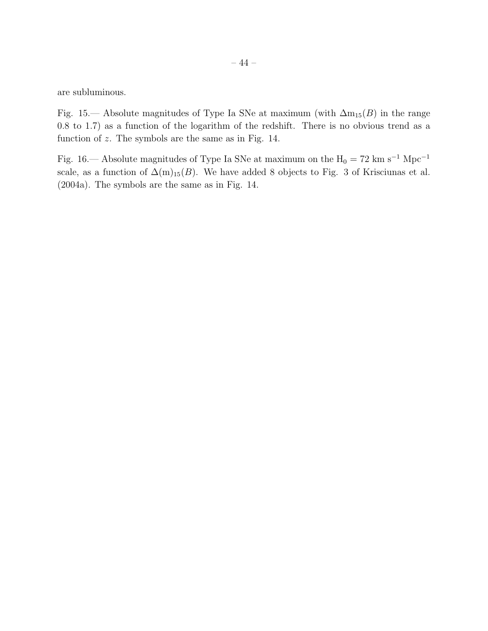are subluminous.

Fig. 15.— Absolute magnitudes of Type Ia SNe at maximum (with  $\Delta m_{15}(B)$  in the range 0.8 to 1.7) as a function of the logarithm of the redshift. There is no obvious trend as a function of z. The symbols are the same as in Fig. 14.

Fig. 16.— Absolute magnitudes of Type Ia SNe at maximum on the  $\rm H_{0} = 72\ km\ s^{-1}\ Mpc^{-1}$ scale, as a function of  $\Delta(m)_{15}(B)$ . We have added 8 objects to Fig. 3 of Krisciunas et al. (2004a). The symbols are the same as in Fig. 14.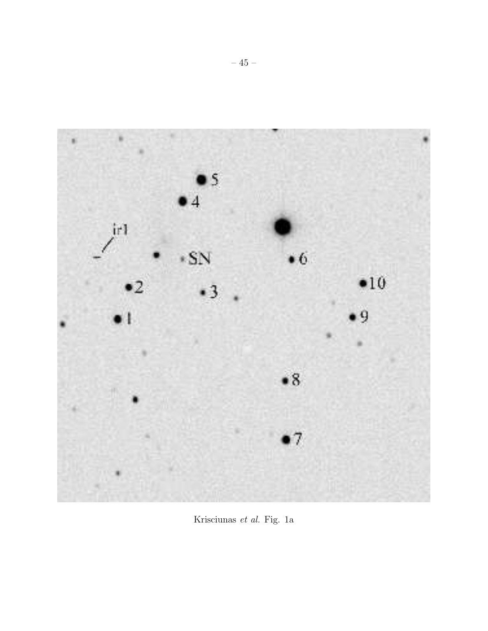

Krisciunas *et al.* Fig. 1a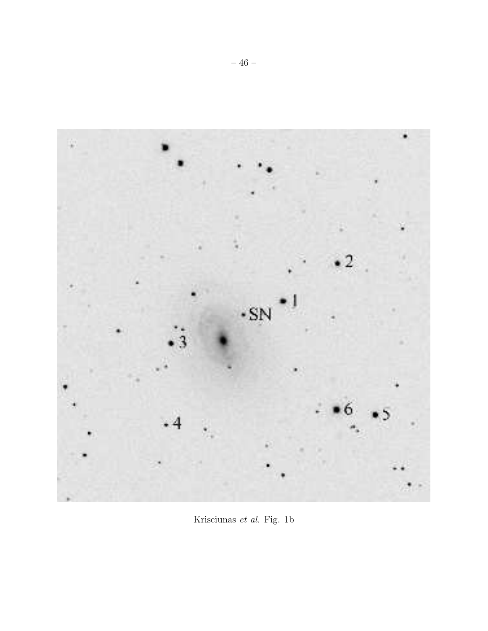

Krisciunas *et al.* Fig. 1b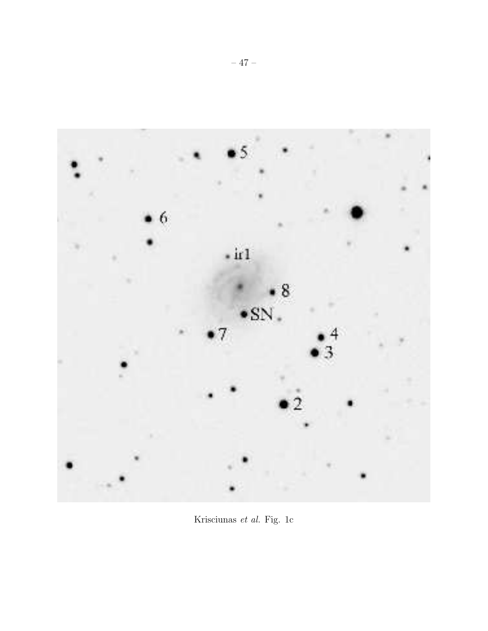

Krisciunas *et al.* Fig. 1c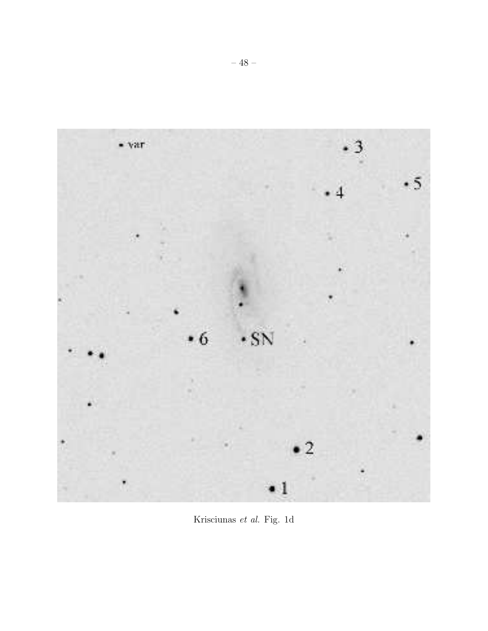

Krisciunas *et al.* Fig. 1d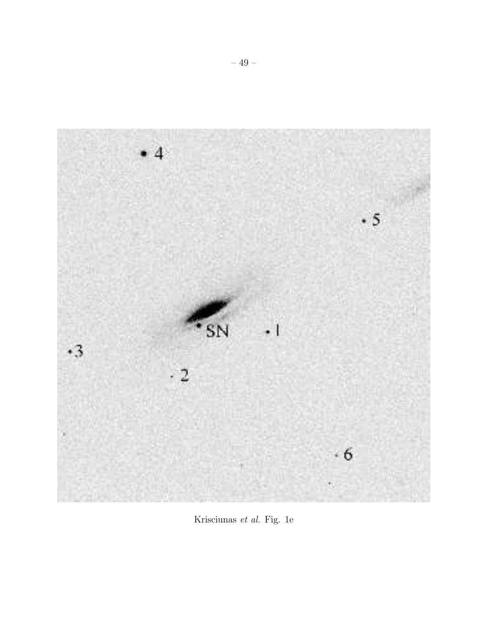

Krisciunas *et al.* Fig. 1e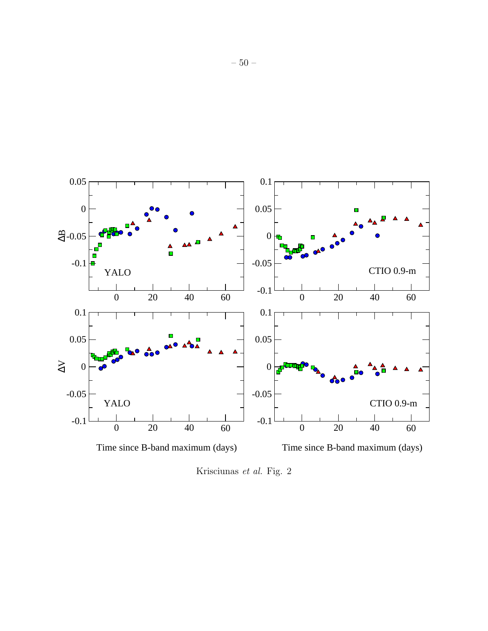

Krisciunas *et al.* Fig. 2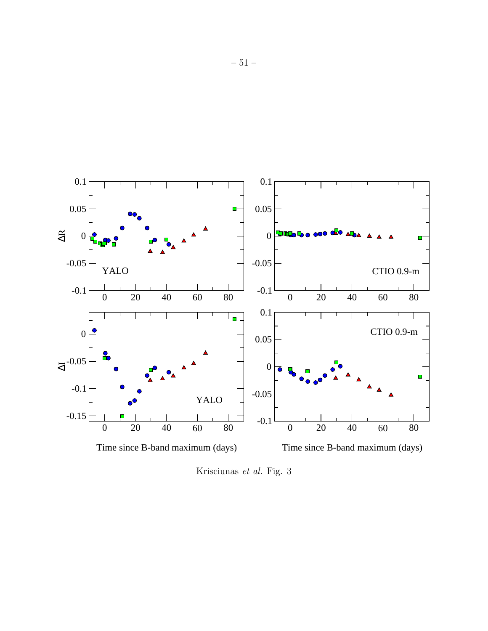

Krisciunas *et al.* Fig. 3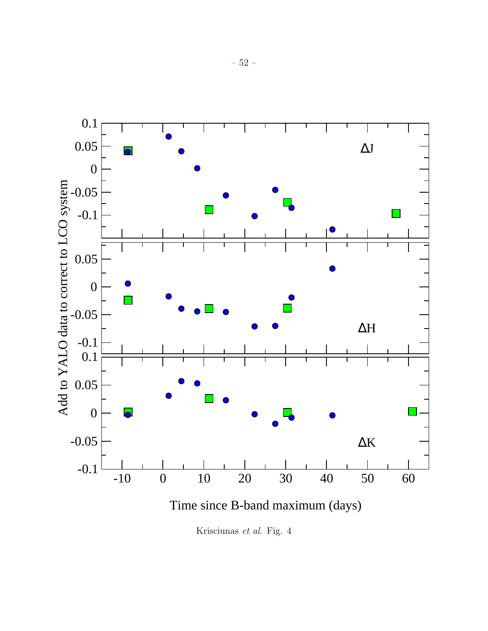

Krisciunas *et al.* Fig. 4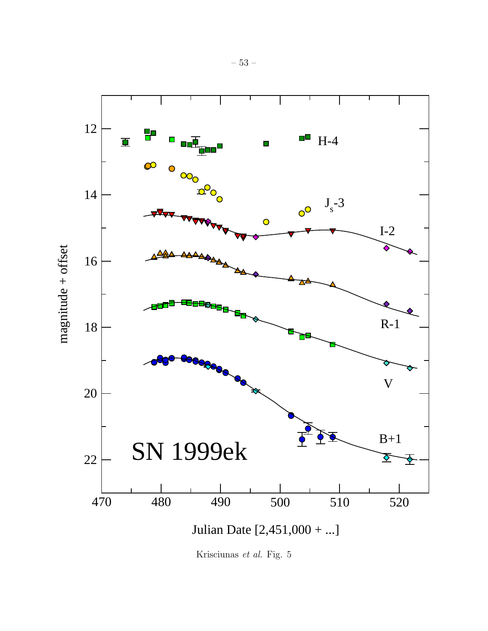

Krisciunas *et al.* Fig. 5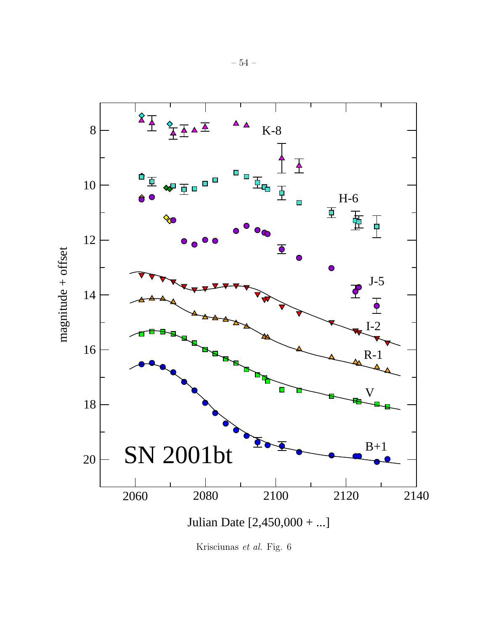

Krisciunas *et al.* Fig. 6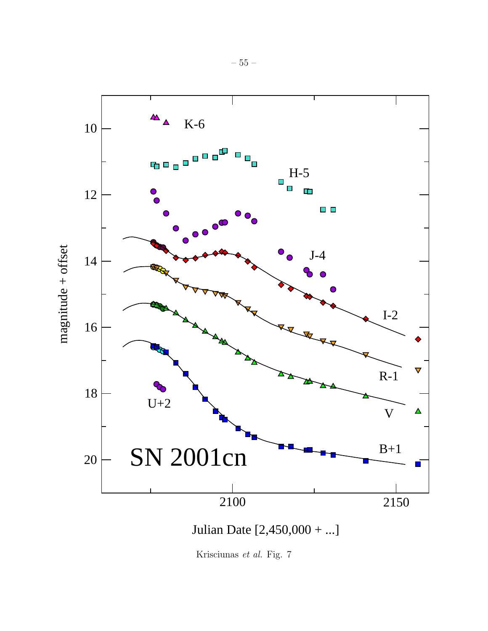

Krisciunas *et al.* Fig. 7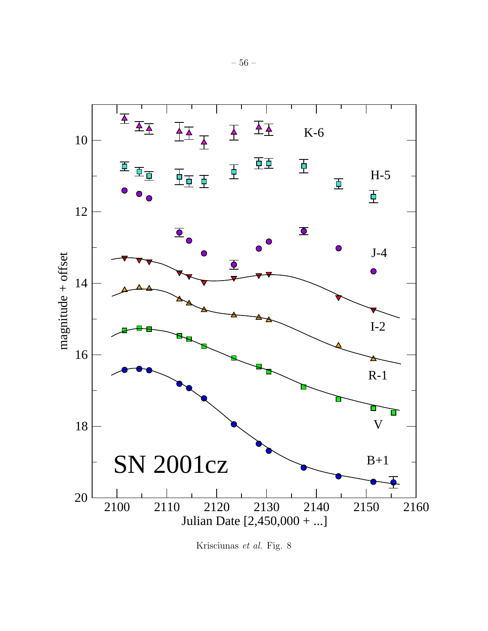

Krisciunas *et al.* Fig. 8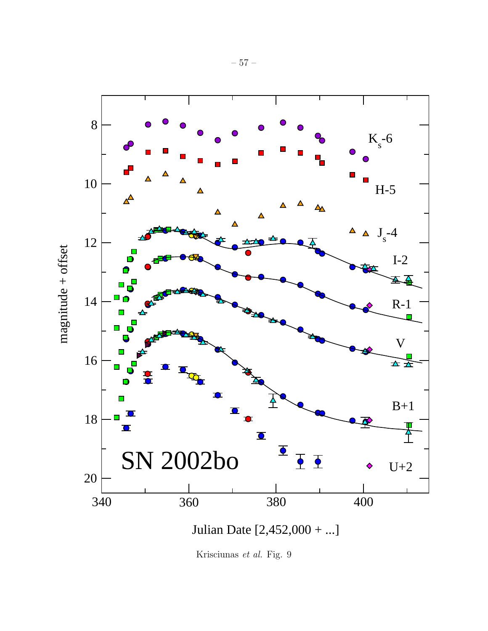

Krisciunas *et al.* Fig. 9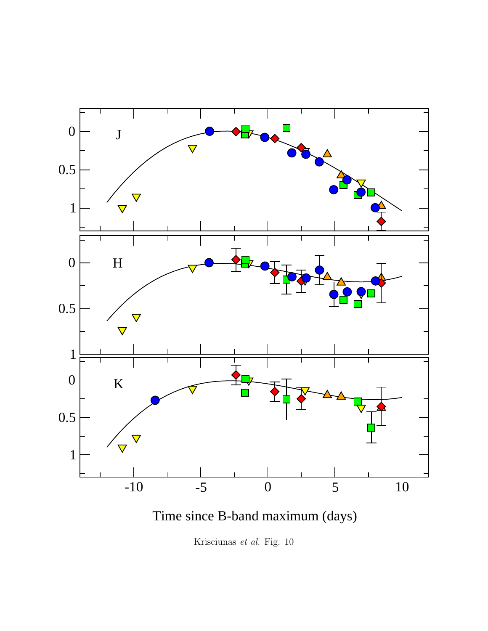

Time since B-band maximum (days)

Krisciunas *et al.* Fig. 10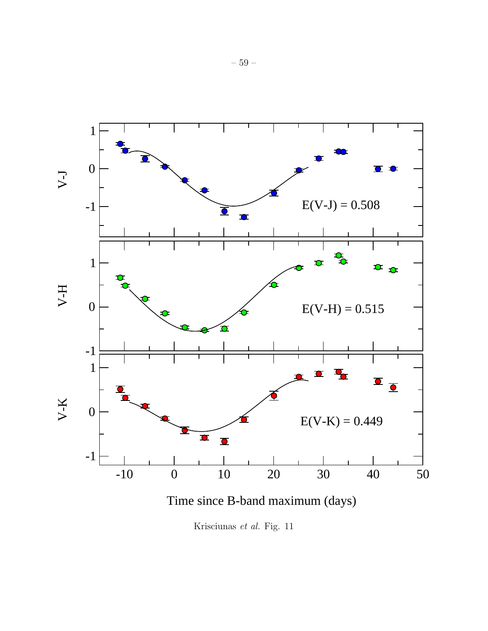

Krisciunas *et al.* Fig. 11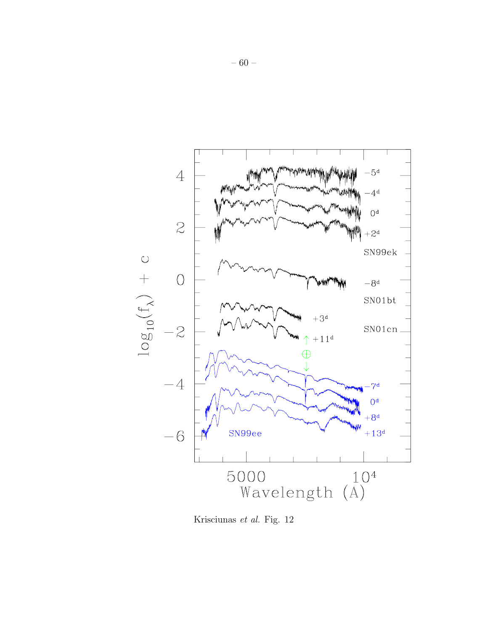

Krisciunas *et al.* Fig. 12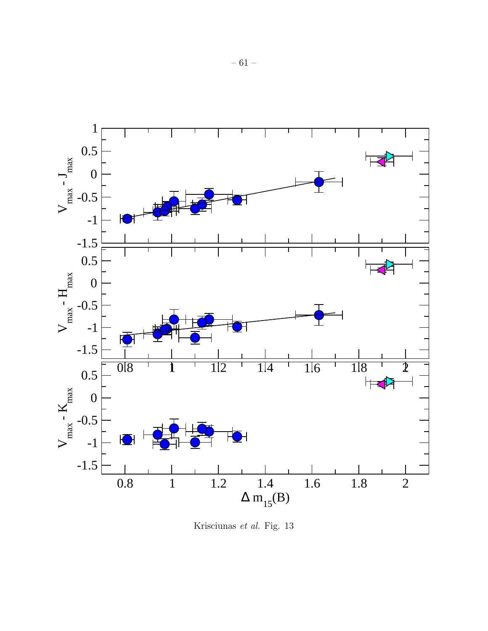

Krisciunas *et al.* Fig. 13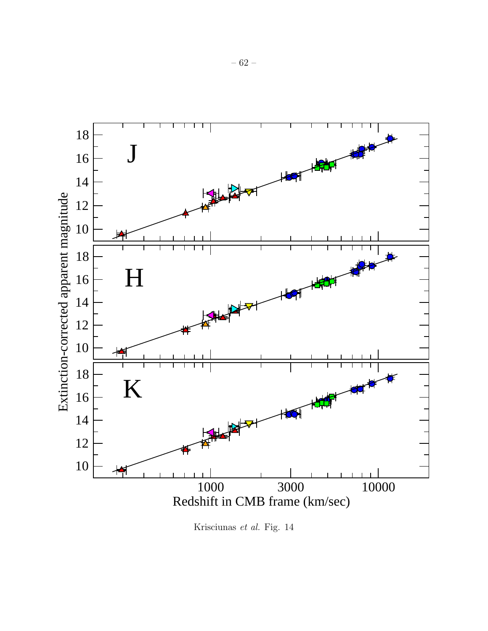

Krisciunas *et al.* Fig. 14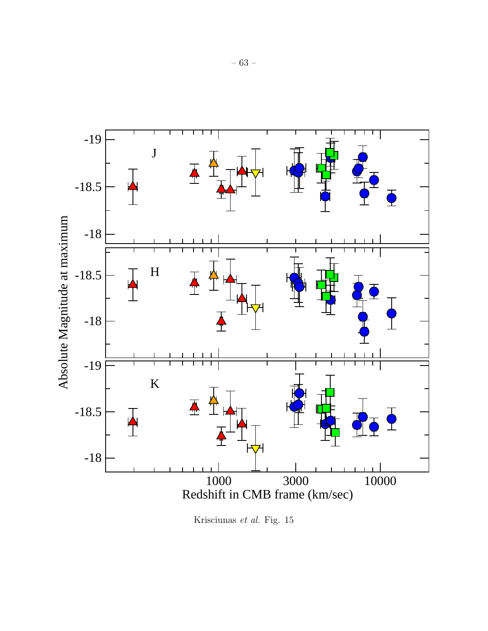

Krisciunas *et al.* Fig. 15